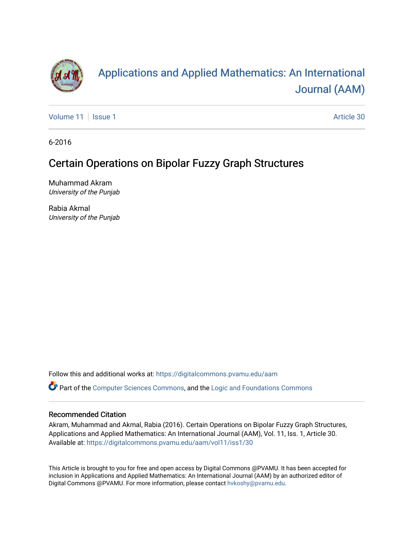

# [Applications and Applied Mathematics: An International](https://digitalcommons.pvamu.edu/aam)  [Journal \(AAM\)](https://digitalcommons.pvamu.edu/aam)

[Volume 11](https://digitalcommons.pvamu.edu/aam/vol11) | [Issue 1](https://digitalcommons.pvamu.edu/aam/vol11/iss1) Article 30

6-2016

# Certain Operations on Bipolar Fuzzy Graph Structures

Muhammad Akram University of the Punjab

Rabia Akmal University of the Punjab

Follow this and additional works at: [https://digitalcommons.pvamu.edu/aam](https://digitalcommons.pvamu.edu/aam?utm_source=digitalcommons.pvamu.edu%2Faam%2Fvol11%2Fiss1%2F30&utm_medium=PDF&utm_campaign=PDFCoverPages) 

Part of the [Computer Sciences Commons](http://network.bepress.com/hgg/discipline/142?utm_source=digitalcommons.pvamu.edu%2Faam%2Fvol11%2Fiss1%2F30&utm_medium=PDF&utm_campaign=PDFCoverPages), and the [Logic and Foundations Commons](http://network.bepress.com/hgg/discipline/182?utm_source=digitalcommons.pvamu.edu%2Faam%2Fvol11%2Fiss1%2F30&utm_medium=PDF&utm_campaign=PDFCoverPages)

## Recommended Citation

Akram, Muhammad and Akmal, Rabia (2016). Certain Operations on Bipolar Fuzzy Graph Structures, Applications and Applied Mathematics: An International Journal (AAM), Vol. 11, Iss. 1, Article 30. Available at: [https://digitalcommons.pvamu.edu/aam/vol11/iss1/30](https://digitalcommons.pvamu.edu/aam/vol11/iss1/30?utm_source=digitalcommons.pvamu.edu%2Faam%2Fvol11%2Fiss1%2F30&utm_medium=PDF&utm_campaign=PDFCoverPages)

This Article is brought to you for free and open access by Digital Commons @PVAMU. It has been accepted for inclusion in Applications and Applied Mathematics: An International Journal (AAM) by an authorized editor of Digital Commons @PVAMU. For more information, please contact [hvkoshy@pvamu.edu.](mailto:hvkoshy@pvamu.edu)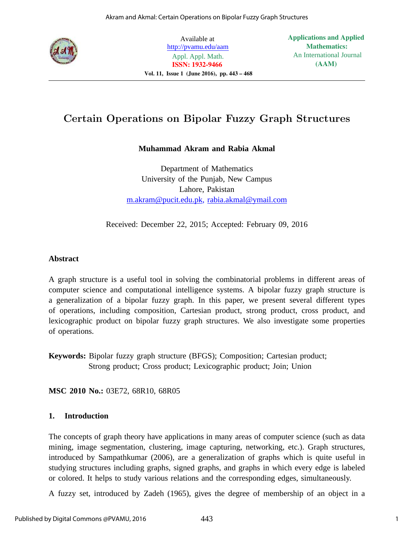

Available at http://pvamu.edu/aam Appl. Appl. Math. **ISSN: 1932-9466 Vol. 11, Issue 1 (June 2016), pp. 443 – 468** **Applications and Applied Mathematics:** An International Journal **(AAM)**

# Certain Operations on Bipolar Fuzzy Graph Structures

# **Muhammad Akram and Rabia Akmal**

Department of Mathematics University of the Punjab, New Campus Lahore, Pakistan m.akram@pucit.edu.pk, rabia.akmal@ymail.com

Received: December 22, 2015; Accepted: February 09, 2016

## **Abstract**

A graph structure is a useful tool in solving the combinatorial problems in different areas of computer science and computational intelligence systems. A bipolar fuzzy graph structure is a generalization of a bipolar fuzzy graph. In this paper, we present several different types of operations, including composition, Cartesian product, strong product, cross product, and lexicographic product on bipolar fuzzy graph structures. We also investigate some properties of operations.

**Keywords:** Bipolar fuzzy graph structure (BFGS); Composition; Cartesian product; Strong product; Cross product; Lexicographic product; Join; Union

**MSC 2010 No.:** 03E72, 68R10, 68R05

## **1. Introduction**

The concepts of graph theory have applications in many areas of computer science (such as data mining, image segmentation, clustering, image capturing, networking, etc.). Graph structures, introduced by Sampathkumar (2006), are a generalization of graphs which is quite useful in studying structures including graphs, signed graphs, and graphs in which every edge is labeled or colored. It helps to study various relations and the corresponding edges, simultaneously.

A fuzzy set, introduced by Zadeh (1965), gives the degree of membership of an object in a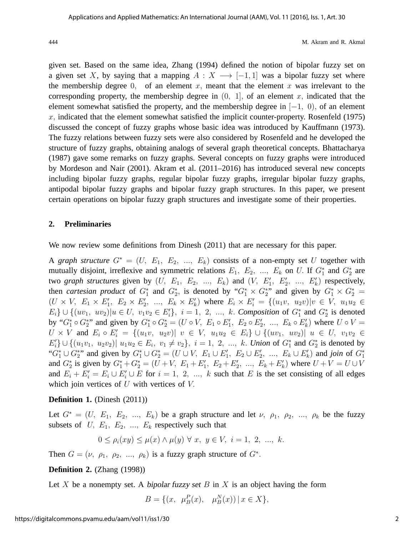given set. Based on the same idea, Zhang (1994) defined the notion of bipolar fuzzy set on a given set X, by saying that a mapping  $A: X \longrightarrow [-1, 1]$  was a bipolar fuzzy set where the membership degree  $0$ , of an element x, meant that the element x was irrelevant to the corresponding property, the membership degree in  $(0, 1]$ , of an element x, indicated that the element somewhat satisfied the property, and the membership degree in  $[-1, 0)$ , of an element  $x$ , indicated that the element somewhat satisfied the implicit counter-property. Rosenfeld (1975) discussed the concept of fuzzy graphs whose basic idea was introduced by Kauffmann (1973). The fuzzy relations between fuzzy sets were also considered by Rosenfeld and he developed the structure of fuzzy graphs, obtaining analogs of several graph theoretical concepts. Bhattacharya (1987) gave some remarks on fuzzy graphs. Several concepts on fuzzy graphs were introduced by Mordeson and Nair (2001). Akram et al. (2011–2016) has introduced several new concepts including bipolar fuzzy graphs, regular bipolar fuzzy graphs, irregular bipolar fuzzy graphs, antipodal bipolar fuzzy graphs and bipolar fuzzy graph structures. In this paper, we present certain operations on bipolar fuzzy graph structures and investigate some of their properties.

## **2. Preliminaries**

We now review some definitions from Dinesh (2011) that are necessary for this paper.

A *graph structure*  $G^* = (U, E_1, E_2, ..., E_k)$  consists of a non-empty set U together with mutually disjoint, irreflexive and symmetric relations  $E_1$ ,  $E_2$ , ...,  $E_k$  on U. If  $G_1^*$  and  $G_2^*$  are two *graph structures* given by  $(U, E_1, E_2, ..., E_k)$  and  $(V, E'_1, E'_2, ..., E'_k)$  respectively, then *cartesian product* of  $G_1^*$  and  $G_2^*$ , is denoted by " $G_1^* \times G_2^*$ " and given by  $G_1^* \times G_2^*$  =  $(U \times V, E_1 \times E_1')$  $E'_1, E_2 \times E'_2$  $E'_2, \ldots, E_k \times E'_k$  $k'$ ) where  $E_i \times E'_i = \{(u_1v, u_2v)|v \in V, u_1u_2 \in$  $E_i$ } ∪ {(uv<sub>1</sub>, uv<sub>2</sub>)|u ∈ U, v<sub>1</sub>v<sub>2</sub> ∈  $E'_i$ }, i = 1, 2, ..., k. *Composition* of  $G_1^*$  and  $G_2^*$  is denoted by " $G_1^* \circ G_2^*$ " and given by  $G_1^* \circ G_2^* = (U \circ V, E_1 \circ E_1')$  $E'_1, E_2 \circ E'_2$  $Z'_2, \ldots, E_k \circ E'_k$  $\binom{n}{k}$  where  $U \circ V =$  $U \times V$  and  $E_i \circ E'_i = \{(u_1v, u_2v) | v \in V, u_1u_2 \in E_i\} \cup \{(uv_1, uv_2) | u \in U, v_1v_2 \in E_i\}$  $E'_i$   $\cup$   $\{(u_1v_1, u_2v_2) | u_1u_2 \in E_i, v_1 \neq v_2\}, i = 1, 2, ..., k$ . *Union* of  $G_1^*$  and  $G_2^*$  is denoted by " $G_1^* \cup G_2^*$ " and given by  $G_1^* \cup G_2^* = (U \cup V, E_1 \cup E_1')$  $E'_1, E_2 \cup E'_2$  $Z_2'$ , ...,  $E_k \cup E'_k$  $\binom{n}{k}$  and *join* of  $G_1^*$ and  $G_2^*$  is given by  $G_1^* + G_2^* = (U + V, E_1 + E_1')$  $E'_1, E_2 + E'_2$  $E'_2, \ldots, E_k + E'_k$  $\binom{n}{k}$  where  $U + V = U \cup V$ and  $E_i + E'_i = E_i \cup E'_i \cup E$  for  $i = 1, 2, ..., k$  such that E is the set consisting of all edges which join vertices of  $U$  with vertices of  $V$ .

## **Definition 1.** (Dinesh (2011))

Let  $G^* = (U, E_1, E_2, ..., E_k)$  be a graph structure and let  $\nu, \rho_1, \rho_2, ..., \rho_k$  be the fuzzy subsets of  $U, E_1, E_2, \ldots, E_k$  respectively such that

$$
0 \le \rho_i(xy) \le \mu(x) \land \mu(y) \forall x, y \in V, i = 1, 2, ..., k.
$$

Then  $G = (\nu, \rho_1, \rho_2, ..., \rho_k)$  is a fuzzy graph structure of  $G^*$ .

## **Definition 2.** (Zhang (1998))

Let X be a nonempty set. A bipolar fuzzy set B in X is an object having the form

$$
B = \{(x, \ \mu_B^P(x), \ \mu_B^N(x)) \, | \, x \in X\},\
$$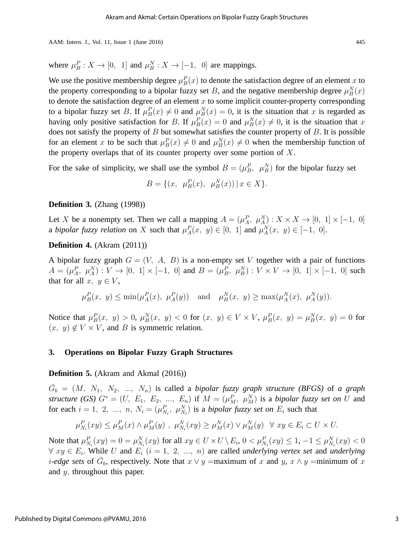where  $\mu_B^P: X \to [0, 1]$  and  $\mu_B^N: X \to [-1, 0]$  are mappings.

We use the positive membership degree  $\mu_B^P(x)$  to denote the satisfaction degree of an element x to the property corresponding to a bipolar fuzzy set B, and the negative membership degree  $\mu_B^N(x)$ to denote the satisfaction degree of an element  $x$  to some implicit counter-property corresponding to a bipolar fuzzy set B. If  $\mu_B^P(x) \neq 0$  and  $\mu_B^N(x) = 0$ , it is the situation that x is regarded as having only positive satisfaction for B. If  $\mu_B^P(x) = 0$  and  $\mu_B^N(x) \neq 0$ , it is the situation that x does not satisfy the property of  $B$  but somewhat satisfies the counter property of  $B$ . It is possible for an element x to be such that  $\mu_B^P(x) \neq 0$  and  $\mu_B^N(x) \neq 0$  when the membership function of the property overlaps that of its counter property over some portion of  $X$ .

For the sake of simplicity, we shall use the symbol  $B = (\mu_B^P, \mu_B^N)$  for the bipolar fuzzy set

$$
B = \{(x, \ \mu_B^P(x), \ \mu_B^N(x)) \, | \, x \in X\}.
$$

## **Definition 3.** (Zhang (1998))

Let X be a nonempty set. Then we call a mapping  $A = (\mu_A^P, \mu_A^N) : X \times X \rightarrow [0, 1] \times [-1, 0]$ a *bipolar fuzzy relation* on X such that  $\mu_A^P(x, y) \in [0, 1]$  and  $\mu_A^N(x, y) \in [-1, 0]$ .

## **Definition 4.** (Akram (2011))

A bipolar fuzzy graph  $G = (V, A, B)$  is a non-empty set V together with a pair of functions  $A = (\mu_A^P, \ \mu_A^N) : V \to [0, 1] \times [-1, 0]$  and  $B = (\mu_B^P, \ \mu_B^N) : V \times V \to [0, 1] \times [-1, 0]$  such that for all  $x, y \in V$ ,

$$
\mu_B^P(x, y) \le \min(\mu_A^P(x), \mu_A^P(y))
$$
 and  $\mu_B^N(x, y) \ge \max(\mu_A^N(x), \mu_A^N(y)).$ 

Notice that  $\mu_B^P(x, y) > 0$ ,  $\mu_B^N(x, y) < 0$  for  $(x, y) \in V \times V$ ,  $\mu_B^P(x, y) = \mu_B^N(x, y) = 0$  for  $(x, y) \notin V \times V$ , and B is symmetric relation.

#### **3. Operations on Bipolar Fuzzy Graph Structures**

**Definition 5.** (Akram and Akmal (2016))

 $\tilde{G}_b = (M, N_1, N_2, ..., N_n)$  is called a *bipolar fuzzy graph structure (BFGS)* of *a graph structure (GS)*  $G^* = (U, E_1, E_2, ..., E_n)$  if  $M = (\mu_M^P, \mu_M^N)$  is a *bipolar fuzzy set on* U and for each  $i = 1, 2, ..., n$ ,  $N_i = (\mu_{N_i}^P, \mu_{N_i}^N)$  is a *bipolar fuzzy set on*  $E_i$  such that

$$
\mu_{N_i}^P(xy) \le \mu_M^P(x) \wedge \mu_M^P(y) , \ \mu_{N_i}^N(xy) \ge \mu_M^N(x) \vee \mu_M^N(y) \ \ \forall \ xy \in E_i \subset U \times U.
$$

Note that  $\mu_{N_i}^P(xy) = 0 = \mu_{N_i}^N(xy)$  for all  $xy \in U \times U \setminus E_i$ ,  $0 < \mu_{N_i}^P(xy) \le 1$ ,  $-1 \le \mu_{N_i}^N(xy) < 0$  $\forall xy \in E_i$ . While U and  $E_i$   $(i = 1, 2, ..., n)$  are called *underlying vertex set* and *underlying i*-edge sets of  $\check{G}_b$ , respectively. Note that  $x \lor y =$ maximum of x and y,  $x \land y =$ minimum of x and y, throughout this paper.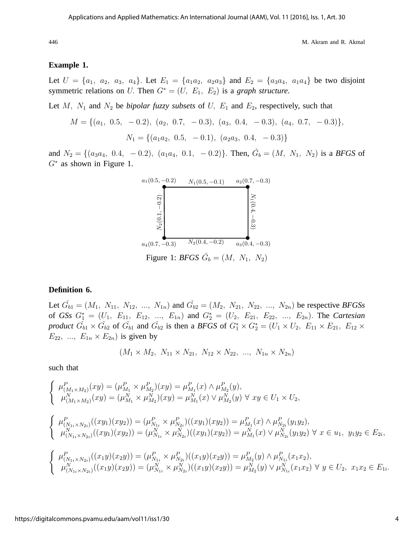#### **Example 1.**

Let  $U = \{a_1, a_2, a_3, a_4\}$ . Let  $E_1 = \{a_1a_2, a_2a_3\}$  and  $E_2 = \{a_3a_4, a_1a_4\}$  be two disjoint symmetric relations on U. Then  $G^* = (U, E_1, E_2)$  is a *graph structure*.

Let  $M$ ,  $N_1$  and  $N_2$  be *bipolar fuzzy subsets* of  $U$ ,  $E_1$  and  $E_2$ , respectively, such that

$$
M = \{(a_1, 0.5, -0.2), (a_2, 0.7, -0.3), (a_3, 0.4, -0.3), (a_4, 0.7, -0.3)\},\
$$

$$
N_1 = \{(a_1a_2, 0.5, -0.1), (a_2a_3, 0.4, -0.3)\}
$$

and  $N_2 = \{(a_3a_4, 0.4, -0.2), (a_1a_4, 0.1, -0.2)\}\.$  Then,  $\tilde{G}_b = (M, N_1, N_2)$  is a *BFGS* of  $G^*$  as shown in Figure 1.



## **Definition 6.**

Let  $\check{G}_{b1} = (M_1, N_{11}, N_{12}, ..., N_{1n})$  and  $\check{G}_{b2} = (M_2, N_{21}, N_{22}, ..., N_{2n})$  be respective *BFGSs* of *GSs*  $G_1^* = (U_1, E_{11}, E_{12}, ..., E_{1n})$  and  $G_2^* = (U_2, E_{21}, E_{22}, ..., E_{2n})$ . The *Cartesian product*  $\check{G}_{b1} \times \check{G}_{b2}$  of  $\check{G}_{b1}$  and  $\check{G}_{b2}$  is then a *BFGS* of  $G_1^* \times G_2^* = (U_1 \times U_2, E_{11} \times E_{21}, E_{12} \times E_{22})$  $E_{22}$ , ...,  $E_{1n} \times E_{2n}$  is given by

$$
(M_1 \times M_2, N_{11} \times N_{21}, N_{12} \times N_{22}, ..., N_{1n} \times N_{2n})
$$

such that

$$
\begin{cases}\n\mu_{(M_1 \times M_2)}^P(xy) = (\mu_{M_1}^P \times \mu_{M_2}^P)(xy) = \mu_{M_1}^P(x) \wedge \mu_{M_2}^P(y), \\
\mu_{(M_1 \times M_2)}^N(xy) = (\mu_{M_1}^N \times \mu_{M_2}^N)(xy) = \mu_{M_1}^N(x) \vee \mu_{M_2}^N(y) \forall xy \in U_1 \times U_2, \\
\mu_{(N_{1i} \times N_{2i})}^P((xy_1)(xy_2)) = (\mu_{N_{1i}}^P \times \mu_{N_{2i}}^P)((xy_1)(xy_2)) = \mu_{M_1}^P(x) \wedge \mu_{N_{2i}}^P(y_1y_2), \\
\mu_{(N_{1i} \times N_{2i})}^N((xy_1)(xy_2)) = (\mu_{N_{1i}}^N \times \mu_{N_{2i}}^N)((xy_1)(xy_2)) = \mu_{M_1}^N(x) \vee \mu_{N_{2i}}^N(y_1y_2) \forall x \in u_1, y_1y_2 \in E_{2i}, \\
\mu_{(N_{1i} \times N_{2i})}^P((x_1y)(xy_2)) = (\mu_{N_{1i}}^P \times \mu_{N_{2i}}^P)((x_1y)(xy_2)) = \mu_{M_2}^P(y) \wedge \mu_{N_{1i}}^P(x_1x_2), \\
\mu_{(N_{1i} \times N_{2i})}^N((x_1y)(xy_2)) = (\mu_{N_{1i}}^N \times \mu_{N_{2i}}^P)((x_1y)(xy_2)) = \mu_{M_2}^N(y) \vee \mu_{N_{1i}}^N(x_1x_2) \forall y \in U_2, x_1x_2 \in E_{1i}.\n\end{cases}
$$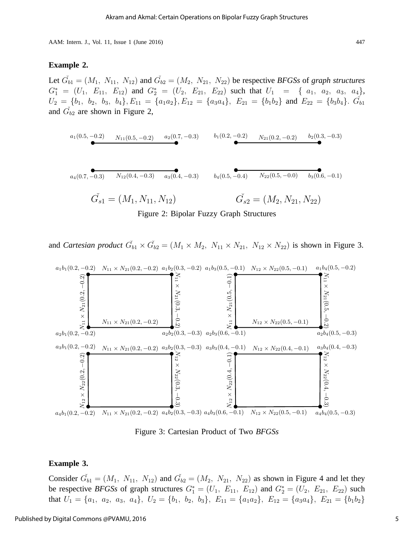#### **Example 2.**

Let  $\check{G}_{b1} = (M_1, N_{11}, N_{12})$  and  $\check{G}_{b2} = (M_2, N_{21}, N_{22})$  be respective *BFGSs* of *graph structures*  $G_1^* = (U_1, E_{11}, E_{12})$  and  $G_2^* = (U_2, E_{21}, E_{22})$  such that  $U_1 = \{a_1, a_2, a_3, a_4\}$ ,  $U_2 = \{b_1, b_2, b_3, b_4\}, E_{11} = \{a_1a_2\}, E_{12} = \{a_3a_4\}, E_{21} = \{b_1b_2\}$  and  $E_{22} = \{b_3b_4\}.$   $\tilde{G}_{b1}$ and  $\check{G}_{b2}$  are shown in Figure 2,

$$
a_1(0.5, -0.2) \qquad N_{11}(0.5, -0.2) \qquad a_2(0.7, -0.3) \qquad b_1(0.2, -0.2) \qquad N_{21}(0.2, -0.2) \qquad b_2(0.3, -0.3)
$$

$$
a_4(0.7, -0.3) \qquad N_{12}(0.4, -0.3) \qquad a_3(0.4, -0.3) \qquad b_4(0.5, -0.4) \qquad N_{22}(0.5, -0.0) \qquad b_3(0.6, -0.1)
$$

$$
\tilde{G}_{s1} = (M_1, N_{11}, N_{12}) \qquad \qquad \tilde{G}_{s2} = (M_2, N_{21}, N_{22})
$$

Figure 2: Bipolar Fuzzy Graph Structures

and *Cartesian product*  $\check{G}_{b1} \times \check{G}_{b2} = (M_1 \times M_2, N_{11} \times N_{21}, N_{12} \times N_{22})$  is shown in Figure 3.



Figure 3: Cartesian Product of Two *BFGSs*

#### **Example 3.**

Consider  $\check{G}_{b1} = (M_1, N_{11}, N_{12})$  and  $\check{G}_{b2} = (M_2, N_{21}, N_{22})$  as shown in Figure 4 and let they be respective *BFGSs* of graph structures  $G_1^* = (U_1, E_{11}, E_{12})$  and  $G_2^* = (U_2, E_{21}, E_{22})$  such that  $U_1 = \{a_1, a_2, a_3, a_4\}, U_2 = \{b_1, b_2, b_3\}, E_{11} = \{a_1a_2\}, E_{12} = \{a_3a_4\}, E_{21} = \{b_1b_2\}$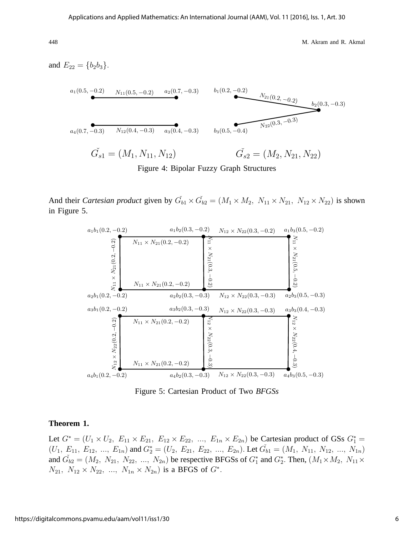and  $E_{22} = \{b_2b_3\}.$ <sup>b</sup> b  $a_4(0.7, -0.3)$   $N_{12}(0.4, -0.3)$   $a_3(0.4, -0.3)$  $a_1(0.5, -0.2)$   $N_{11}(0.5, -0.2)$   $a_2(0.7, -0.3)$  $\begin{picture}(20,20) \put(0,0){\line(1,0){10}} \put(15,0){\line(1,0){10}} \put(15,0){\line(1,0){10}} \put(15,0){\line(1,0){10}} \put(15,0){\line(1,0){10}} \put(15,0){\line(1,0){10}} \put(15,0){\line(1,0){10}} \put(15,0){\line(1,0){10}} \put(15,0){\line(1,0){10}} \put(15,0){\line(1,0){10}} \put(15,0){\line(1,0){10}} \put(15,0){\line(1$  $\ddot{\bullet}$  $b_3(0.5, -0.4)$  $b_1(0.2, -0.2)$  $b_2(0.3, -0.3)$  $N_{21}(0.2, -0.2)$  $\overline{N_{22}(0.3, -0.3)}$  $\check{G_{s1}} = (M_1, N_{11}, N_{12})$   $\check{G_{s}}$  $\check{G}_{s2} = (M_2, N_{21}, N_{22})$ 

Figure 4: Bipolar Fuzzy Graph Structures

And their *Cartesian product* given by  $\check{G}_{b1} \times \check{G}_{b2} = (M_1 \times M_2, N_{11} \times N_{21}, N_{12} \times N_{22})$  is shown in Figure 5.



Figure 5: Cartesian Product of Two *BFGSs*

## **Theorem 1.**

Let  $G^* = (U_1 \times U_2, E_{11} \times E_{21}, E_{12} \times E_{22}, ..., E_{1n} \times E_{2n})$  be Cartesian product of GSs  $G_1^* =$  $(U_1, E_{11}, E_{12}, ..., E_{1n})$  and  $G_2^* = (U_2, E_{21}, E_{22}, ..., E_{2n})$ . Let  $\check{G}_{b1} = (M_1, N_{11}, N_{12}, ..., N_{1n})$ and  $\tilde{G}_{b2} = (M_2, N_{21}, N_{22}, ..., N_{2n})$  be respective BFGSs of  $G_1^*$  and  $G_2^*$ . Then,  $(M_1 \times M_2, N_{11} \times$  $N_{21}, N_{12} \times N_{22}, ..., N_{1n} \times N_{2n}$  is a BFGS of  $G^*$ .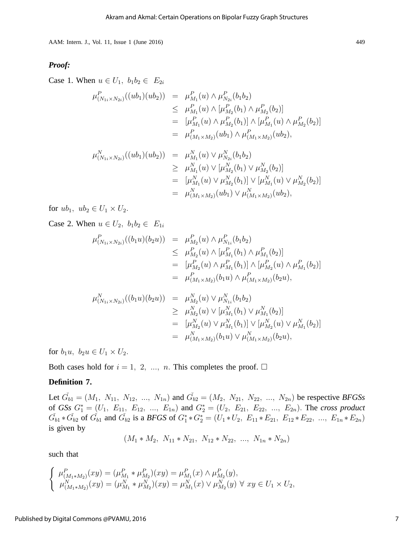### *Proof:*

Case 1. When  $u \in U_1$ ,  $b_1b_2 \in E_{2i}$ 

$$
\mu_{(N_{1i} \times N_{2i})}^{P}((ub_{1})(ub_{2})) = \mu_{M_{1}}^{P}(u) \wedge \mu_{N_{2i}}^{P}(b_{1}b_{2})
$$
\n
$$
\leq \mu_{M_{1}}^{P}(u) \wedge [\mu_{M_{2}}^{P}(b_{1}) \wedge \mu_{M_{2}}^{P}(b_{2})]
$$
\n
$$
= [\mu_{M_{1}}^{P}(u) \wedge \mu_{M_{2}}^{P}(b_{1})] \wedge [\mu_{M_{1}}^{P}(u) \wedge \mu_{M_{2}}^{P}(b_{2})]
$$
\n
$$
= \mu_{(M_{1} \times M_{2})}^{P}(ub_{1}) \wedge \mu_{(M_{1} \times M_{2})}^{P}(ub_{2}),
$$

$$
\mu_{(N_{1i} \times N_{2i})}^{N}((ub_{1})(ub_{2})) = \mu_{M_{1}}^{N}(u) \vee \mu_{N_{2i}}^{N}(b_{1}b_{2})
$$
\n
$$
\geq \mu_{M_{1}}^{N}(u) \vee [\mu_{M_{2}}^{N}(b_{1}) \vee \mu_{M_{2}}^{N}(b_{2})]
$$
\n
$$
= [\mu_{M_{1}}^{N}(u) \vee \mu_{M_{2}}^{N}(b_{1})] \vee [\mu_{M_{1}}^{N}(u) \vee \mu_{M_{2}}^{N}(b_{2})]
$$
\n
$$
= \mu_{(M_{1} \times M_{2})}^{N}(ub_{1}) \vee \mu_{(M_{1} \times M_{2})}^{N}(ub_{2}),
$$

for  $ub_1$ ,  $ub_2 \in U_1 \times U_2$ .

Case 2. When  $u \in U_2$ ,  $b_1b_2 \in E_{1i}$ 

$$
\mu_{(N_{1i} \times N_{2i})}^{P}((b_{1}u)(b_{2}u)) = \mu_{M_{2}}^{P}(u) \wedge \mu_{N_{1i}}^{P}(b_{1}b_{2})
$$
\n
$$
\leq \mu_{M_{2}}^{P}(u) \wedge [\mu_{M_{1}}^{P}(b_{1}) \wedge \mu_{M_{1}}^{P}(b_{2})]
$$
\n
$$
= [\mu_{M_{2}}^{P}(u) \wedge \mu_{M_{1}}^{P}(b_{1})] \wedge [\mu_{M_{2}}^{P}(u) \wedge \mu_{M_{1}}^{P}(b_{2})]
$$
\n
$$
= \mu_{(M_{1} \times M_{2})}^{P}(b_{1}u) \wedge \mu_{(M_{1} \times M_{2})}^{P}(b_{2}u),
$$

$$
\mu_{(N_{1i}\times N_{2i})}^{N}((b_{1}u)(b_{2}u)) = \mu_{M_{2}}^{N}(u) \vee \mu_{N_{1i}}^{N}(b_{1}b_{2})
$$
\n
$$
\geq \mu_{M_{2}}^{N}(u) \vee [\mu_{M_{1}}^{N}(b_{1}) \vee \mu_{M_{1}}^{N}(b_{2})]
$$
\n
$$
= [\mu_{M_{2}}^{N}(u) \vee \mu_{M_{1}}^{N}(b_{1})] \vee [\mu_{M_{2}}^{N}(u) \vee \mu_{M_{1}}^{N}(b_{2})]
$$
\n
$$
= \mu_{(M_{1}\times M_{2})}^{N}(b_{1}u) \vee \mu_{(M_{1}\times M_{2})}^{N}(b_{2}u),
$$

for  $b_1u$ ,  $b_2u \in U_1 \times U_2$ .

Both cases hold for  $i = 1, 2, ..., n$ . This completes the proof.  $\Box$ 

## **Definition 7.**

Let  $\check{G}_{b1} = (M_1, N_{11}, N_{12}, ..., N_{1n})$  and  $\check{G}_{b2} = (M_2, N_{21}, N_{22}, ..., N_{2n})$  be respective *BFGSs* of *GSs*  $G_1^* = (U_1, E_{11}, E_{12}, ..., E_{1n})$  and  $G_2^* = (U_2, E_{21}, E_{22}, ..., E_{2n})$ . The *cross product*  $\check{G}_{b1} * \check{G}_{b2}$  of  $\check{G}_{b1}$  and  $\check{G}_{b2}$  is a *BFGS* of  $G_1^* * G_2^* = (U_1 * U_2, E_{11} * E_{21}, E_{12} * E_{22}, ..., E_{1n} * E_{2n})$ is given by

$$
(M_1 * M_2, N_{11} * N_{21}, N_{12} * N_{22}, ..., N_{1n} * N_{2n})
$$

such that

$$
\begin{cases}\n\mu_{(M_1 \ast M_2)}^P(xy) = (\mu_{M_1}^P \ast \mu_{M_2}^P)(xy) = \mu_{M_1}^P(x) \wedge \mu_{M_2}^P(y), \\
\mu_{(M_1 \ast M_2)}^N(xy) = (\mu_{M_1}^N \ast \mu_{M_2}^N)(xy) = \mu_{M_1}^N(x) \vee \mu_{M_2}^N(y) \forall xy \in U_1 \times U_2,\n\end{cases}
$$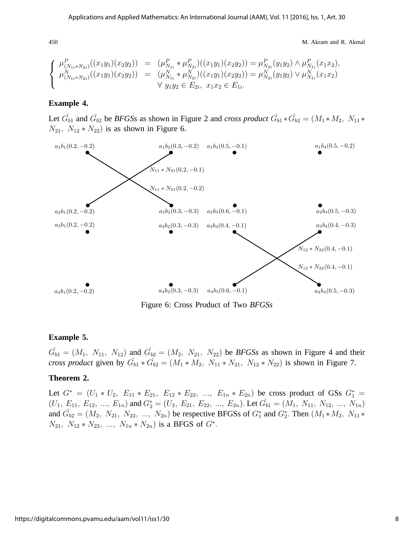$$
\begin{cases}\n\mu_{(N_{1i}*N_{2i})}^{P}((x_1y_1)(x_2y_2)) = (\mu_{N_{1i}}^{P} * \mu_{N_{2i}}^{P})((x_1y_1)(x_2y_2)) = \mu_{N_{2i}}^{P}(y_1y_2) \wedge \mu_{N_{1i}}^{P}(x_1x_2), \\
\mu_{(N_{1i}*N_{2i})}^{N}((x_1y_1)(x_2y_2)) = (\mu_{N_{1i}}^{N} * \mu_{N_{2i}}^{N})((x_1y_1)(x_2y_2)) = \mu_{N_{2i}}^{N}(y_1y_2) \vee \mu_{N_{1i}}^{N}(x_1x_2) \\
\forall y_1y_2 \in E_{2i}, x_1x_2 \in E_{1i}.\n\end{cases}
$$

#### **Example 4.**

Let  $\check{G}_{b1}$  and  $\check{G}_{b2}$  be *BFGSs* as shown in Figure 2 and *cross product*  $\check{G}_{b1} * \check{G}_{b2} = (M_1 * M_2, N_{11} *$  $N_{21}$ ,  $N_{12} * N_{22}$  is as shown in Figure 6.



Figure 6: Cross Product of Two *BFGSs*

#### **Example 5.**

 $\tilde{G}_{b1} = (M_1, N_{11}, N_{12})$  and  $\tilde{G}_{b2} = (M_2, N_{21}, N_{22})$  be *BFGSs* as shown in Figure 4 and their *cross product* given by  $\tilde{G}_{b1} * \tilde{G}_{b2} = (M_1 * M_2, N_{11} * N_{21}, N_{12} * N_{22})$  is shown in Figure 7.

#### **Theorem 2.**

Let  $G^* = (U_1 * U_2, E_{11} * E_{21}, E_{12} * E_{22}, ..., E_{1n} * E_{2n})$  be cross product of GSs  $G_1^* =$  $(U_1, E_{11}, E_{12}, ..., E_{1n})$  and  $G_2^* = (U_2, E_{21}, E_{22}, ..., E_{2n})$ . Let  $\check{G}_{b1} = (M_1, N_{11}, N_{12}, ..., N_{1n})$ and  $\tilde{G}_{b2} = (M_2, N_{21}, N_{22}, ..., N_{2n})$  be respective BFGSs of  $G_1^*$  and  $G_2^*$ . Then  $(M_1 * M_2, N_{11} *$  $N_{21}$ ,  $N_{12} * N_{22}$ , ...,  $N_{1n} * N_{2n}$ ) is a BFGS of  $G^*$ .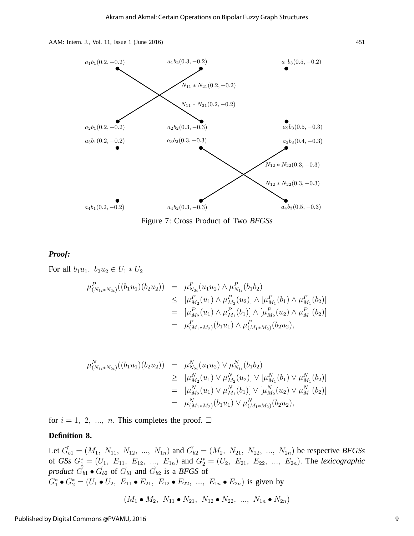



Figure 7: Cross Product of Two *BFGSs*

## *Proof:*

For all  $b_1u_1, b_2u_2 \in U_1 * U_2$ 

$$
\mu_{(N_{1i}*N_{2i})}^{P}((b_1u_1)(b_2u_2)) = \mu_{N_{2i}}^{P}(u_1u_2) \wedge \mu_{N_{1i}}^{P}(b_1b_2)
$$
\n
$$
\leq [\mu_{M_2}^{P}(u_1) \wedge \mu_{M_2}^{P}(u_2)] \wedge [\mu_{M_1}^{P}(b_1) \wedge \mu_{M_1}^{P}(b_2)]
$$
\n
$$
= [\mu_{M_2}^{P}(u_1) \wedge \mu_{M_1}^{P}(b_1)] \wedge [\mu_{M_2}^{P}(u_2) \wedge \mu_{M_1}^{P}(b_2)]
$$
\n
$$
= \mu_{(M_1*M_2)}^{P}(b_1u_1) \wedge \mu_{(M_1*M_2)}^{P}(b_2u_2),
$$

$$
\mu_{(N_{1i}*N_{2i})}^{N}((b_1u_1)(b_2u_2)) = \mu_{N_{2i}}^{N}(u_1u_2) \vee \mu_{N_{1i}}^{N}(b_1b_2)
$$
\n
$$
\geq [\mu_{M_2}^{N}(u_1) \vee \mu_{M_2}^{N}(u_2)] \vee [\mu_{M_1}^{N}(b_1) \vee \mu_{M_1}^{N}(b_2)]
$$
\n
$$
= [\mu_{M_2}^{N}(u_1) \vee \mu_{M_1}^{N}(b_1)] \vee [\mu_{M_2}^{N}(u_2) \vee \mu_{M_1}^{N}(b_2)]
$$
\n
$$
= \mu_{(M_1*M_2)}^{N}(b_1u_1) \vee \mu_{(M_1*M_2)}^{N}(b_2u_2),
$$

for  $i = 1, 2, ..., n$ . This completes the proof.  $\Box$ 

## **Definition 8.**

Let  $\check{G}_{b1} = (M_1, N_{11}, N_{12}, ..., N_{1n})$  and  $\check{G}_{b2} = (M_2, N_{21}, N_{22}, ..., N_{2n})$  be respective *BFGSs* of *GSs*  $G_1^* = (U_1, E_{11}, E_{12}, ..., E_{1n})$  and  $G_2^* = (U_2, E_{21}, E_{22}, ..., E_{2n})$ . The *lexicographic product*  $\check{G}_{b1} \bullet \check{G}_{b2}$  of  $\check{G}_{b1}$  and  $\check{G}_{b2}$  is a *BFGS* of  $G_1^* \bullet G_2^* = (U_1 \bullet U_2, E_{11} \bullet E_{21}, E_{12} \bullet E_{22}, ..., E_{1n} \bullet E_{2n})$  is given by

$$
(M_1 \bullet M_2, N_{11} \bullet N_{21}, N_{12} \bullet N_{22}, ..., N_{1n} \bullet N_{2n})
$$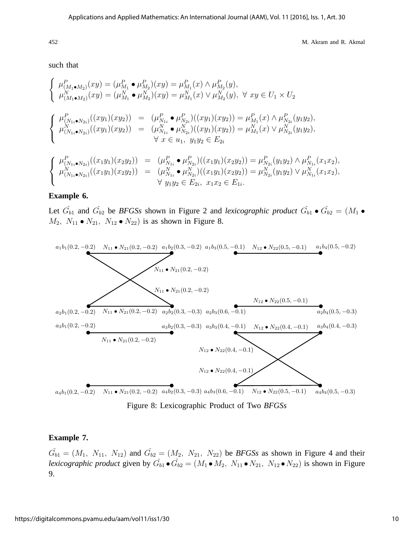such that

$$
\begin{cases}\n\mu_{(M_1 \bullet M_2)}^P(xy) = (\mu_{M_1}^P \bullet \mu_{M_2}^P)(xy) = \mu_{M_1}^P(x) \wedge \mu_{M_2}^P(y),\n\mu_{(M_1 \bullet M_2)}^N(xy) = (\mu_{M_1}^N \bullet \mu_{M_2}^N)(xy) = \mu_{M_1}^N(x) \vee \mu_{M_2}^N(y), \forall xy \in U_1 \times U_2\n\end{cases}
$$
\n
$$
\begin{cases}\n\mu_{(N_{1i} \bullet N_{2i})}^P((xy_1)(xy_2)) = (\mu_{N_{1i}}^P \bullet \mu_{N_{2i}}^P)((xy_1)(xy_2)) = \mu_{M_1}^P(x) \wedge \mu_{N_{2i}}^P(y_1y_2),\n\mu_{(N_{1i} \bullet N_{2i})}^N((xy_1)(xy_2)) = (\mu_{N_{1i}}^N \bullet \mu_{N_{2i}}^N)((xy_1)(xy_2)) = \mu_{M_1}^N(x) \vee \mu_{N_{2i}}^N(y_1y_2),\n\forall x \in u_1, y_1y_2 \in E_{2i}\n\end{cases}
$$
\n
$$
\begin{cases}\n\mu_{(N_{1i} \bullet N_{2i})}^P((x_1y_1)(x_2y_2)) = (\mu_{N_{1i}}^P \bullet \mu_{N_{2i}}^P)((x_1y_1)(x_2y_2)) = \mu_{N_{2i}}^P(y_1y_2) \wedge \mu_{N_{1i}}^P(x_1x_2),\n\mu_{(N_{1i} \bullet N_{2i})}^N((x_1y_1)(x_2y_2)) = (\mu_{N_{1i}}^N \bullet \mu_{N_{2i}}^N)((x_1y_1)(x_2y_2)) = \mu_{N_{2i}}^N(y_1y_2) \vee \mu_{N_{1i}}^N(x_1x_2),\n\forall y_1y_2 \in E_{2i}, x_1x_2 \in E_{1i}.\n\end{cases}
$$

#### **Example 6.**

Let  $\check{G}_{b1}$  and  $\check{G}_{b2}$  be *BFGSs* shown in Figure 2 and *lexicographic product*  $\check{G}_{b1} \bullet \check{G}_{b2} = (M_1 \bullet )$  $M_2$ ,  $N_{11} \bullet N_{21}$ ,  $N_{12} \bullet N_{22}$  is as shown in Figure 8.



Figure 8: Lexicographic Product of Two *BFGSs*

#### **Example 7.**

 $\tilde{G}_{b1} = (M_1, N_{11}, N_{12})$  and  $\tilde{G}_{b2} = (M_2, N_{21}, N_{22})$  be *BFGSs* as shown in Figure 4 and their *lexicographic product* given by  $\check{G}_{b1} \bullet \check{G}_{b2} = (M_1 \bullet M_2, N_{11} \bullet N_{21}, N_{12} \bullet N_{22})$  is shown in Figure 9.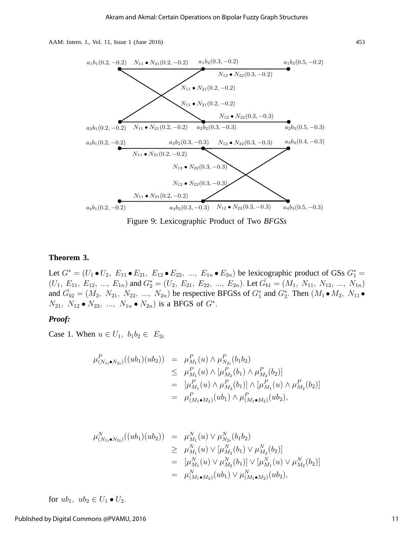

Figure 9: Lexicographic Product of Two *BFGSs*

#### **Theorem 3.**

Let  $G^* = (U_1 \bullet U_2, E_{11} \bullet E_{21}, E_{12} \bullet E_{22}, ..., E_{1n} \bullet E_{2n})$  be lexicographic product of GSs  $G_1^* =$  $(U_1, E_{11}, E_{12}, ..., E_{1n})$  and  $G_2^* = (U_2, E_{21}, E_{22}, ..., E_{2n})$ . Let  $\check{G}_{b1} = (M_1, N_{11}, N_{12}, ..., N_{1n})$ and  $\tilde{G}_{b2} = (M_2, N_{21}, N_{22}, ..., N_{2n})$  be respective BFGSs of  $G_1^*$  and  $G_2^*$ . Then  $(M_1 \bullet M_2, N_{11} \bullet M_2)$  $N_{21}, N_{12} \bullet N_{22}, ..., N_{1n} \bullet N_{2n})$  is a BFGS of  $G^*$ .

#### *Proof:*

Case 1. When  $u \in U_1$ ,  $b_1b_2 \in E_{2i}$ 

$$
\mu_{(N_{1i}\bullet N_{2i})}^{P}((ub_{1})(ub_{2})) = \mu_{M_{1}}^{P}(u) \wedge \mu_{N_{2i}}^{P}(b_{1}b_{2})
$$
\n
$$
\leq \mu_{M_{1}}^{P}(u) \wedge [\mu_{M_{2}}^{P}(b_{1}) \wedge \mu_{M_{2}}^{P}(b_{2})]
$$
\n
$$
= [\mu_{M_{1}}^{P}(u) \wedge \mu_{M_{2}}^{P}(b_{1})] \wedge [\mu_{M_{1}}^{P}(u) \wedge \mu_{M_{2}}^{P}(b_{2})]
$$
\n
$$
= \mu_{(M_{1}\bullet M_{2})}^{P}(ub_{1}) \wedge \mu_{(M_{1}\bullet M_{2})}^{P}(ub_{2}),
$$

$$
\mu_{(N_{1i}\bullet N_{2i})}^{N}((ub_{1})(ub_{2})) = \mu_{M_{1}}^{N}(u) \vee \mu_{N_{2i}}^{N}(b_{1}b_{2})
$$
\n
$$
\geq \mu_{M_{1}}^{N}(u) \vee [\mu_{M_{2}}^{N}(b_{1}) \vee \mu_{M_{2}}^{N}(b_{2})]
$$
\n
$$
= [\mu_{M_{1}}^{N}(u) \vee \mu_{M_{2}}^{N}(b_{1})] \vee [\mu_{M_{1}}^{N}(u) \vee \mu_{M_{2}}^{N}(b_{2})]
$$
\n
$$
= \mu_{(M_{1}\bullet M_{2})}^{N}(ub_{1}) \vee \mu_{(M_{1}\bullet M_{2})}^{N}(ub_{2}),
$$

for  $ub_1$ ,  $ub_2 \in U_1 \bullet U_2$ .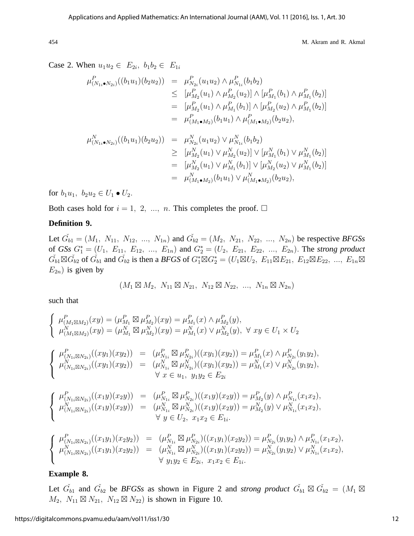Case 2. When  $u_1u_2 \in E_{2i}$ ,  $b_1b_2 \in E_{1i}$ 

$$
\mu_{(N_{1i}\bullet N_{2i})}^{P}((b_{1}u_{1})(b_{2}u_{2})) = \mu_{N_{2i}}^{P}(u_{1}u_{2}) \wedge \mu_{N_{1i}}^{P}(b_{1}b_{2})
$$
\n
$$
\leq [\mu_{M_{2}}^{P}(u_{1}) \wedge \mu_{M_{2}}^{P}(u_{2})] \wedge [\mu_{M_{1}}^{P}(b_{1}) \wedge \mu_{M_{1}}^{P}(b_{2})]
$$
\n
$$
= [\mu_{M_{2}}^{P}(u_{1}) \wedge \mu_{M_{1}}^{P}(b_{1})] \wedge [\mu_{M_{2}}^{P}(u_{2}) \wedge \mu_{M_{1}}^{P}(b_{2})]
$$
\n
$$
= \mu_{(M_{1}\bullet M_{2})}^{P}(b_{1}u_{1}) \wedge \mu_{(M_{1}\bullet M_{2})}^{P}(b_{2}u_{2}),
$$
\n
$$
\mu_{(N_{1i}\bullet N_{2i})}^{N}((b_{1}u_{1})(b_{2}u_{2})) = \mu_{N_{2i}}^{N}(u_{1}u_{2}) \vee \mu_{N_{1i}}^{N}(b_{1}b_{2})
$$
\n
$$
\geq [\mu_{M_{2}}^{N}(u_{1}) \vee \mu_{M_{2}}^{N}(u_{2})] \vee [\mu_{M_{1}}^{N}(b_{1}) \vee \mu_{M_{1}}^{N}(b_{2})]
$$
\n
$$
= [\mu_{M_{2}}^{N}(u_{1}) \vee \mu_{M_{1}}^{N}(b_{1})] \vee [\mu_{M_{2}}^{N}(u_{2}) \vee \mu_{M_{1}}^{N}(b_{2})]
$$

 $= \mu_{(M_1\bullet M_2)}^N(b_1u_1)\vee \mu_{(M_1\bullet M_2)}^N(b_2u_2),$ 

for  $b_1u_1, b_2u_2 \in U_1 \bullet U_2$ .

Both cases hold for  $i = 1, 2, ..., n$ . This completes the proof.  $\Box$ 

## **Definition 9.**

Let  $\check{G}_{b1} = (M_1, N_{11}, N_{12}, ..., N_{1n})$  and  $\check{G}_{b2} = (M_2, N_{21}, N_{22}, ..., N_{2n})$  be respective *BFGSs* of *GSs*  $G_1^* = (U_1, E_{11}, E_{12}, ..., E_{1n})$  and  $G_2^* = (U_2, E_{21}, E_{22}, ..., E_{2n})$ . The *strong product*  $\check{G}_{b1} \boxtimes \check{G}_{b2}$  of  $\check{G}_{b1}$  and  $\check{G}_{b2}$  is then a *BFGS* of  $G_1^* \boxtimes G_2^* = (U_1 \boxtimes U_2, E_{11} \boxtimes E_{21}, E_{12} \boxtimes E_{22}, ..., E_{1n} \boxtimes$  $E_{2n}$ ) is given by

$$
(M_1 \boxtimes M_2, N_{11} \boxtimes N_{21}, N_{12} \boxtimes N_{22}, ..., N_{1n} \boxtimes N_{2n})
$$

such that

$$
\begin{cases}\n\mu_{(M_{1}\boxtimes M_{2})}^{P}(xy) = (\mu_{M_{1}}^{P} \boxtimes \mu_{M_{2}}^{P})(xy) = \mu_{M_{1}}^{P}(x) \wedge \mu_{M_{2}}^{P}(y),\n\mu_{(M_{1}\boxtimes M_{2})}^{N}(xy) = (\mu_{M_{1}}^{N} \boxtimes \mu_{M_{2}}^{N})(xy) = \mu_{M_{1}}^{N}(x) \vee \mu_{M_{2}}^{N}(y), \forall xy \in U_{1} \times U_{2} \\
\mu_{(M_{1}\boxtimes N_{2i})}^{P}((xy_{1})(xy_{2})) = (\mu_{N_{1i}}^{P} \boxtimes \mu_{N_{2i}}^{P})( (xy_{1})(xy_{2})) = \mu_{M_{1}}^{P}(x) \wedge \mu_{N_{2i}}^{P}(y_{1}y_{2}),\n\mu_{(N_{1i}\boxtimes N_{2i})}^{N}((xy_{1})(xy_{2})) = (\mu_{N_{1i}}^{N} \boxtimes \mu_{N_{2i}}^{N})( (xy_{1})(xy_{2})) = \mu_{M_{1}}^{N}(x) \vee \mu_{N_{2i}}^{N}(y_{1}y_{2}),\n\forall x \in u_{1}, y_{1}y_{2} \in E_{2i} \\
\mu_{(N_{1i}\boxtimes N_{2i})}^{P}( (x_{1}y)(x_{2}y)) = (\mu_{N_{1i}}^{P} \boxtimes \mu_{N_{2i}}^{P})( (x_{1}y)(x_{2}y)) = \mu_{M_{2}}^{P}(y) \wedge \mu_{N_{1i}}^{P}(x_{1}x_{2}),\n\mu_{(N_{1i}\boxtimes N_{2i})}^{P}((xy_{1})(x_{2}y)) = (\mu_{N_{1i}}^{N} \boxtimes \mu_{N_{2i}}^{N})( (x_{1}y)(x_{2}y)) = \mu_{M_{2}}^{P}(y) \vee \mu_{N_{1i}}^{P}(x_{1}x_{2}),\n\forall y \in U_{2}, x_{1}x_{2} \in E_{1i}.\n\end{cases}
$$
\n
$$
\begin{cases}\n\mu_{(N_{1i}\boxtimes N_{2i})}^{P}( (x_{1}y_{1})(x_{2}y_{2})) = ( \mu_{N_{1i}}^{P} \boxtimes \mu_{N_{2i}}^{P})( (x_{1}y_{1})(x_{2}y_{2})) = \mu_{N_{2i}}^{
$$

## **Example 8.**

Let  $\check{G}_{b1}$  and  $\check{G}_{b2}$  be *BFGSs* as shown in Figure 2 and *strong product*  $\check{G}_{b1} \boxtimes \check{G}_{b2} = (M_1 \boxtimes$  $M_2$ ,  $N_{11} \boxtimes N_{21}$ ,  $N_{12} \boxtimes N_{22}$ ) is shown in Figure 10.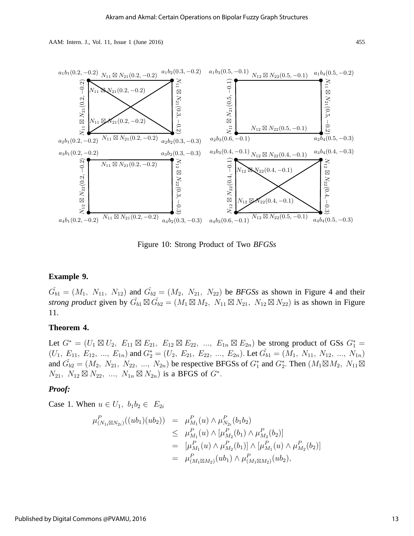

Figure 10: Strong Product of Two *BFGSs*

## **Example 9.**

 $\tilde{G}_{b1} = (M_1, N_{11}, N_{12})$  and  $\tilde{G}_{b2} = (M_2, N_{21}, N_{22})$  be *BFGSs* as shown in Figure 4 and their *strong product* given by  $\check{G}_{b1} \boxtimes \check{G}_{b2} = (M_1 \boxtimes M_2, N_{11} \boxtimes N_{21}, N_{12} \boxtimes N_{22})$  is as shown in Figure 11.

## **Theorem 4.**

Let  $G^* = (U_1 \boxtimes U_2, E_{11} \boxtimes E_{21}, E_{12} \boxtimes E_{22}, ..., E_{1n} \boxtimes E_{2n})$  be strong product of GSs  $G_1^* =$  $(U_1, E_{11}, E_{12}, ..., E_{1n})$  and  $G_2^* = (U_2, E_{21}, E_{22}, ..., E_{2n})$ . Let  $\check{G}_{b1} = (M_1, N_{11}, N_{12}, ..., N_{1n})$ and  $\check{G}_{b2} = (M_2, N_{21}, N_{22}, ..., N_{2n})$  be respective BFGSs of  $G_1^*$  and  $G_2^*$ . Then  $(M_1 \boxtimes M_2, N_{11} \boxtimes$  $N_{21}, N_{12} \boxtimes N_{22}, ..., N_{1n} \boxtimes N_{2n})$  is a BFGS of  $G^*$ .

#### *Proof:*

Case 1. When  $u \in U_1$ ,  $b_1b_2 \in E_{2i}$ 

$$
\mu_{(N_{1i}\boxtimes N_{2i})}^{P}((ub_{1})(ub_{2})) = \mu_{M_{1}}^{P}(u) \wedge \mu_{N_{2i}}^{P}(b_{1}b_{2})
$$
\n
$$
\leq \mu_{M_{1}}^{P}(u) \wedge [\mu_{M_{2}}^{P}(b_{1}) \wedge \mu_{M_{2}}^{P}(b_{2})]
$$
\n
$$
= [\mu_{M_{1}}^{P}(u) \wedge \mu_{M_{2}}^{P}(b_{1})] \wedge [\mu_{M_{1}}^{P}(u) \wedge \mu_{M_{2}}^{P}(b_{2})]
$$
\n
$$
= \mu_{(M_{1}\boxtimes M_{2})}^{P}(ub_{1}) \wedge \mu_{(M_{1}\boxtimes M_{2})}^{P}(ub_{2}),
$$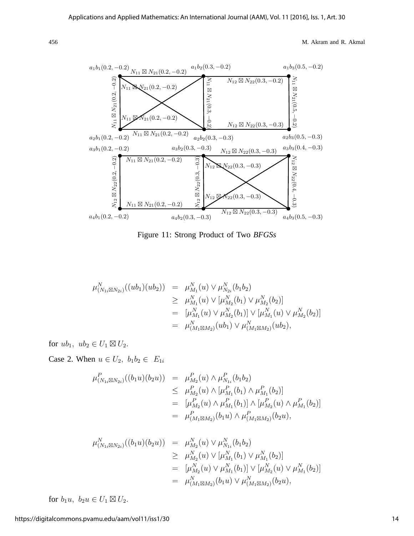

Figure 11: Strong Product of Two *BFGSs*

$$
\mu_{(N_{1i}\boxtimes N_{2i})}^{N}((ub_{1})(ub_{2})) = \mu_{M_{1}}^{N}(u) \vee \mu_{N_{2i}}^{N}(b_{1}b_{2})
$$
\n
$$
\geq \mu_{M_{1}}^{N}(u) \vee [\mu_{M_{2}}^{N}(b_{1}) \vee \mu_{M_{2}}^{N}(b_{2})]
$$
\n
$$
= [\mu_{M_{1}}^{N}(u) \vee \mu_{M_{2}}^{N}(b_{1})] \vee [\mu_{M_{1}}^{N}(u) \vee \mu_{M_{2}}^{N}(b_{2})]
$$
\n
$$
= \mu_{(M_{1}\boxtimes M_{2})}^{N}(ub_{1}) \vee \mu_{(M_{1}\boxtimes M_{2})}^{N}(ub_{2}),
$$

for  $ub_1$ ,  $ub_2 \in U_1 \boxtimes U_2$ .

Case 2. When  $u \in U_2$ ,  $b_1b_2 \in E_{1i}$ 

$$
\mu_{(N_{1i}\boxtimes N_{2i})}^{P}((b_{1}u)(b_{2}u)) = \mu_{M_{2}}^{P}(u) \wedge \mu_{N_{1i}}^{P}(b_{1}b_{2})
$$
\n
$$
\leq \mu_{M_{2}}^{P}(u) \wedge [\mu_{M_{1}}^{P}(b_{1}) \wedge \mu_{M_{1}}^{P}(b_{2})]
$$
\n
$$
= [\mu_{M_{2}}^{P}(u) \wedge \mu_{M_{1}}^{P}(b_{1})] \wedge [\mu_{M_{2}}^{P}(u) \wedge \mu_{M_{1}}^{P}(b_{2})]
$$
\n
$$
= \mu_{(M_{1}\boxtimes M_{2})}^{P}(b_{1}u) \wedge \mu_{(M_{1}\boxtimes M_{2})}^{P}(b_{2}u),
$$

$$
\mu_{(N_{1i}\boxtimes N_{2i})}^{N}((b_{1}u)(b_{2}u)) = \mu_{M_{2}}^{N}(u) \vee \mu_{N_{1i}}^{N}(b_{1}b_{2})
$$
\n
$$
\geq \mu_{M_{2}}^{N}(u) \vee [\mu_{M_{1}}^{N}(b_{1}) \vee \mu_{M_{1}}^{N}(b_{2})]
$$
\n
$$
= [\mu_{M_{2}}^{N}(u) \vee \mu_{M_{1}}^{N}(b_{1})] \vee [\mu_{M_{2}}^{N}(u) \vee \mu_{M_{1}}^{N}(b_{2})]
$$
\n
$$
= \mu_{(M_{1}\boxtimes M_{2})}^{N}(b_{1}u) \vee \mu_{(M_{1}\boxtimes M_{2})}^{N}(b_{2}u),
$$

for  $b_1u$ ,  $b_2u \in U_1 \boxtimes U_2$ .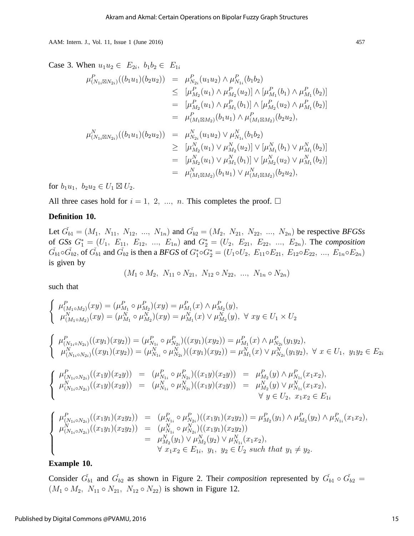Case 3. When  $u_1u_2 \in E_{2i}$ ,  $b_1b_2 \in E_{1i}$ 

$$
\mu_{(N_{1i}\boxtimes N_{2i})}^{P}((b_{1}u_{1})(b_{2}u_{2})) = \mu_{N_{2i}}^{P}(u_{1}u_{2}) \wedge \mu_{N_{1i}}^{P}(b_{1}b_{2})
$$
\n
$$
\leq [\mu_{M_{2}}^{P}(u_{1}) \wedge \mu_{M_{2}}^{P}(u_{2})] \wedge [\mu_{M_{1}}^{P}(b_{1}) \wedge \mu_{M_{1}}^{P}(b_{2})]
$$
\n
$$
= [\mu_{M_{2}}^{P}(u_{1}) \wedge \mu_{M_{1}}^{P}(b_{1})] \wedge [\mu_{M_{2}}^{P}(u_{2}) \wedge \mu_{M_{1}}^{P}(b_{2})]
$$
\n
$$
= \mu_{(M_{1}\boxtimes M_{2})}^{P}(b_{1}u_{1}) \wedge \mu_{(M_{1}\boxtimes M_{2})}^{P}(b_{2}u_{2}),
$$
\n
$$
\mu_{(N_{1i}\boxtimes N_{2i})}^{N}((b_{1}u_{1})(b_{2}u_{2})) = \mu_{N_{2i}}^{N}(u_{1}u_{2}) \vee \mu_{N_{1i}}^{N}(b_{1}b_{2})
$$
\n
$$
\geq [\mu_{M_{2}}^{N}(u_{1}) \vee \mu_{M_{2}}^{N}(u_{2})] \vee [\mu_{M_{1}}^{N}(b_{1}) \vee \mu_{M_{1}}^{N}(b_{2})]
$$
\n
$$
= [\mu_{M_{2}}^{N}(u_{1}) \vee \mu_{M_{1}}^{N}(b_{1})] \vee [\mu_{M_{2}}^{N}(u_{2}) \vee \mu_{M_{1}}^{N}(b_{2})]
$$
\n
$$
= \mu_{(M_{1}\boxtimes M_{2})}^{N}(b_{1}u_{1}) \vee \mu_{(M_{1}\boxtimes M_{2})}^{N}(b_{2}u_{2}),
$$

for  $b_1u_1, b_2u_2 \in U_1 \boxtimes U_2$ .

All three cases hold for  $i = 1, 2, ..., n$ . This completes the proof.  $\Box$ 

#### **Definition 10.**

Let  $\check{G}_{b1} = (M_1, N_{11}, N_{12}, ..., N_{1n})$  and  $\check{G}_{b2} = (M_2, N_{21}, N_{22}, ..., N_{2n})$  be respective *BFGSs* of *GSs*  $G_1^* = (U_1, E_{11}, E_{12}, ..., E_{1n})$  and  $G_2^* = (U_2, E_{21}, E_{22}, ..., E_{2n})$ . The *composition*  $\check{G}_{b1} \circ \check{G}_{b2}$ , of  $\check{G}_{b1}$  and  $\check{G}_{b2}$  is then a *BFGS* of  $G_1^* \circ G_2^* = (U_1 \circ U_2, E_{11} \circ E_{21}, E_{12} \circ E_{22}, ..., E_{1n} \circ E_{2n})$ is given by

$$
(M_1 \circ M_2, N_{11} \circ N_{21}, N_{12} \circ N_{22}, ..., N_{1n} \circ N_{2n})
$$

such that

$$
\left\{\n\begin{array}{ll}\n\mu_{(M_1 \circ M_2)}^P(xy) = (\mu_{M_1}^P \circ \mu_{M_2}^P)(xy) = \mu_{M_1}^P(x) \wedge \mu_{M_2}^P(y), \\
\mu_{(M_1 \circ M_2)}^N(xy) = (\mu_{M_1}^N \circ \mu_{M_2}^N)(xy) = \mu_{M_1}^N(x) \vee \mu_{M_2}^N(y), \forall xy \in U_1 \times U_2\n\end{array}\n\right.
$$
\n
$$
\left\{\n\begin{array}{ll}\n\mu_{(N_1 \circ N_2)}^P((xy_1)(xy_2)) = (\mu_{N_1}^P \circ \mu_{N_2}^P)((xy_1)(xy_2)) = \mu_{M_1}^P(x) \wedge \mu_{N_2}^P(y_1y_2), \\
\mu_{(N_1 \circ N_2)}^N((xy_1)(xy_2)) = (\mu_{N_1}^N \circ \mu_{N_2}^N)((xy_1)(xy_2)) = \mu_{M_1}^N(x) \vee \mu_{N_2}^N(y_1y_2), \forall x \in U_1, y_1y_2 \in E_2\n\end{array}\n\right.
$$
\n
$$
\left\{\n\begin{array}{ll}\n\mu_{(N_1 \circ N_2)}^P((xy_1)(xy_2)) = (\mu_{N_1}^P \circ \mu_{N_2}^P)((xy_1)(xy_2)) = \mu_{M_1}^P(y) \wedge \mu_{N_2}^P(y_1y_2), \forall x \in U_1, y_1y_2 \in E_2\n\end{array}\n\right.
$$
\n
$$
\left\{\n\begin{array}{ll}\n\mu_{(N_1 \circ N_2)}^P((xy)(xy_2)) = (\mu_{N_1}^P \circ \mu_{N_2}^P)((xy)(xy_2)) = \mu_{M_2}^P(y) \wedge \mu_{N_1}^P(x_1x_2), \\
\mu_{(N_1 \circ N_2)}^N((xy_1)(xy_2)) = (\mu_{N_1}^N \circ \mu_{N_2}^P)((xy_1)(xy_2)) = \mu_{M_2}^P(y_1) \wedge \mu_{M_2}^P(y_2) \wedge \mu_{N_1}^P(x_1x_2), \\
\mu_{(N_1 \circ N_2)}^N((xy_1)(xy_2))
$$

## **Example 10.**

Consider  $\check{G}_{b1}$  and  $\check{G}_{b2}$  as shown in Figure 2. Their *composition* represented by  $\check{G}_{b1} \circ \check{G}_{b2} =$  $(M_1 \circ M_2, N_{11} \circ N_{21}, N_{12} \circ N_{22})$  is shown in Figure 12.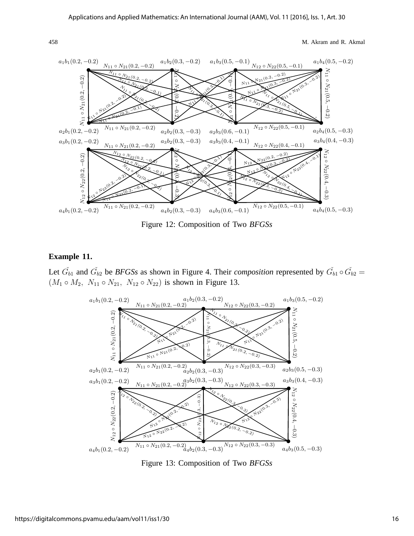

Figure 12: Composition of Two *BFGSs*

#### **Example 11.**

Let  $\check{G}_{b1}$  and  $\check{G}_{b2}$  be *BFGSs* as shown in Figure 4. Their *composition* represented by  $\check{G}_{b1} \circ \check{G}_{b2} =$  $(M_1 \circ M_2, N_{11} \circ N_{21}, N_{12} \circ N_{22})$  is shown in Figure 13.



Figure 13: Composition of Two *BFGSs*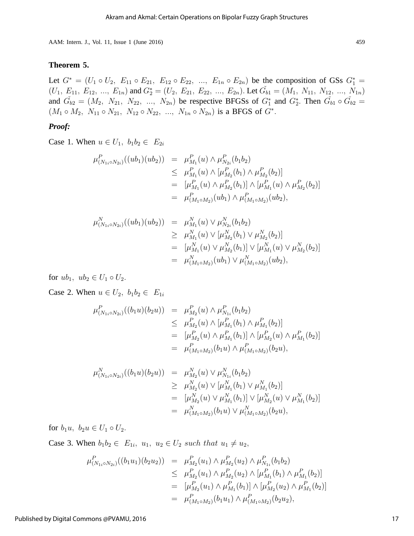#### **Theorem 5.**

Let  $G^* = (U_1 \circ U_2, E_{11} \circ E_{21}, E_{12} \circ E_{22}, ..., E_{1n} \circ E_{2n})$  be the composition of GSs  $G_1^* =$  $(U_1, E_{11}, E_{12}, ..., E_{1n})$  and  $G_2^* = (U_2, E_{21}, E_{22}, ..., E_{2n})$ . Let  $\check{G}_{b1} = (M_1, N_{11}, N_{12}, ..., N_{1n})$ and  $\tilde{G}_{b2} = (M_2, N_{21}, N_{22}, ..., N_{2n})$  be respective BFGSs of  $G_1^*$  and  $G_2^*$ . Then  $\tilde{G}_{b1} \circ \tilde{G}_{b2} =$  $(M_1 \circ M_2, N_{11} \circ N_{21}, N_{12} \circ N_{22}, ..., N_{1n} \circ N_{2n})$  is a BFGS of  $G^*$ .

## *Proof:*

Case 1. When  $u \in U_1$ ,  $b_1b_2 \in E_{2i}$ 

$$
\mu_{(N_{1i}\circ N_{2i})}^{P}((ub_{1})(ub_{2})) = \mu_{M_{1}}^{P}(u) \wedge \mu_{N_{2i}}^{P}(b_{1}b_{2})
$$
\n
$$
\leq \mu_{M_{1}}^{P}(u) \wedge [\mu_{M_{2}}^{P}(b_{1}) \wedge \mu_{M_{2}}^{P}(b_{2})]
$$
\n
$$
= [\mu_{M_{1}}^{P}(u) \wedge \mu_{M_{2}}^{P}(b_{1})] \wedge [\mu_{M_{1}}^{P}(u) \wedge \mu_{M_{2}}^{P}(b_{2})]
$$
\n
$$
= \mu_{(M_{1}\circ M_{2})}^{P}(ub_{1}) \wedge \mu_{(M_{1}\circ M_{2})}^{P}(ub_{2}),
$$

$$
\mu_{(N_{1i} \circ N_{2i})}^{N}((ub_1)(ub_2)) = \mu_{M_1}^{N}(u) \vee \mu_{N_{2i}}^{N}(b_1b_2)
$$
\n
$$
\geq \mu_{M_1}^{N}(u) \vee [\mu_{M_2}^{N}(b_1) \vee \mu_{M_2}^{N}(b_2)]
$$
\n
$$
= [\mu_{M_1}^{N}(u) \vee \mu_{M_2}^{N}(b_1)] \vee [\mu_{M_1}^{N}(u) \vee \mu_{M_2}^{N}(b_2)]
$$
\n
$$
= \mu_{(M_1 \circ M_2)}^{N}(ub_1) \vee \mu_{(M_1 \circ M_2)}^{N}(ub_2),
$$

for  $ub_1$ ,  $ub_2 \in U_1 \circ U_2$ .

Case 2. When  $u \in U_2$ ,  $b_1b_2 \in E_{1i}$ 

$$
\mu_{(N_{1i} \circ N_{2i})}^{P}((b_{1}u)(b_{2}u)) = \mu_{M_{2}}^{P}(u) \wedge \mu_{N_{1i}}^{P}(b_{1}b_{2})
$$
\n
$$
\leq \mu_{M_{2}}^{P}(u) \wedge [\mu_{M_{1}}^{P}(b_{1}) \wedge \mu_{M_{1}}^{P}(b_{2})]
$$
\n
$$
= [\mu_{M_{2}}^{P}(u) \wedge \mu_{M_{1}}^{P}(b_{1})] \wedge [\mu_{M_{2}}^{P}(u) \wedge \mu_{M_{1}}^{P}(b_{2})]
$$
\n
$$
= \mu_{(M_{1} \circ M_{2})}^{P}(b_{1}u) \wedge \mu_{(M_{1} \circ M_{2})}^{P}(b_{2}u),
$$

$$
\mu_{(N_{1i} \circ N_{2i})}^{N}((b_{1}u)(b_{2}u)) = \mu_{M_{2}}^{N}(u) \vee \mu_{N_{1i}}^{N}(b_{1}b_{2})
$$
\n
$$
\geq \mu_{M_{2}}^{N}(u) \vee [\mu_{M_{1}}^{N}(b_{1}) \vee \mu_{M_{1}}^{N}(b_{2})]
$$
\n
$$
= [\mu_{M_{2}}^{N}(u) \vee \mu_{M_{1}}^{N}(b_{1})] \vee [\mu_{M_{2}}^{N}(u) \vee \mu_{M_{1}}^{N}(b_{2})]
$$
\n
$$
= \mu_{(M_{1} \circ M_{2})}^{N}(b_{1}u) \vee \mu_{(M_{1} \circ M_{2})}^{N}(b_{2}u),
$$

for  $b_1u$ ,  $b_2u \in U_1 \circ U_2$ .

Case 3. When  $b_1b_2 \in E_{1i}$ ,  $u_1, u_2 \in U_2$  such that  $u_1 \neq u_2$ ,

$$
\mu_{(N_{1i}\circ N_{2i})}^{P}((b_{1}u_{1})(b_{2}u_{2})) = \mu_{M_{2}}^{P}(u_{1}) \wedge \mu_{M_{2}}^{P}(u_{2}) \wedge \mu_{N_{1i}}^{P}(b_{1}b_{2})
$$
\n
$$
\leq \mu_{M_{2}}^{P}(u_{1}) \wedge \mu_{M_{2}}^{P}(u_{2}) \wedge [\mu_{M_{1}}^{P}(b_{1}) \wedge \mu_{M_{1}}^{P}(b_{2})]
$$
\n
$$
= [\mu_{M_{2}}^{P}(u_{1}) \wedge \mu_{M_{1}}^{P}(b_{1})] \wedge [\mu_{M_{2}}^{P}(u_{2}) \wedge \mu_{M_{1}}^{P}(b_{2})]
$$
\n
$$
= \mu_{(M_{1}\circ M_{2})}^{P}(b_{1}u_{1}) \wedge \mu_{(M_{1}\circ M_{2})}^{P}(b_{2}u_{2}),
$$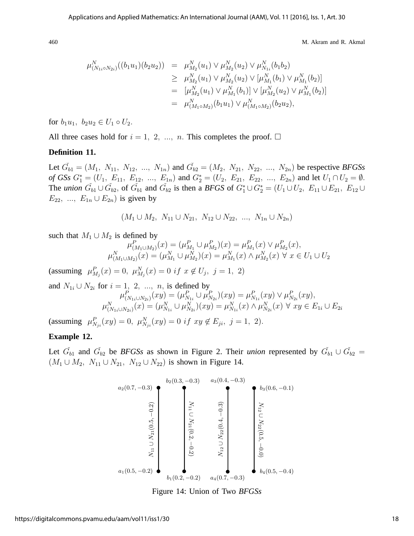$$
\mu_{(N_{1i}\circ N_{2i})}^{N}((b_{1}u_{1})(b_{2}u_{2})) = \mu_{M_{2}}^{N}(u_{1}) \vee \mu_{M_{2}}^{N}(u_{2}) \vee \mu_{N_{1i}}^{N}(b_{1}b_{2})
$$
\n
$$
\geq \mu_{M_{2}}^{N}(u_{1}) \vee \mu_{M_{2}}^{N}(u_{2}) \vee [\mu_{M_{1}}^{N}(b_{1}) \vee \mu_{M_{1}}^{N}(b_{2})]
$$
\n
$$
= [\mu_{M_{2}}^{N}(u_{1}) \vee \mu_{M_{1}}^{N}(b_{1})] \vee [\mu_{M_{2}}^{N}(u_{2}) \vee \mu_{M_{1}}^{N}(b_{2})]
$$
\n
$$
= \mu_{(M_{1}\circ M_{2})}^{N}(b_{1}u_{1}) \vee \mu_{(M_{1}\circ M_{2})}^{N}(b_{2}u_{2}),
$$

for  $b_1u_1, b_2u_2 \in U_1 \circ U_2$ .

All three cases hold for  $i = 1, 2, ..., n$ . This completes the proof.  $\Box$ 

## **Definition 11.**

Let  $\check{G}_{b1} = (M_1, N_{11}, N_{12}, ..., N_{1n})$  and  $\check{G}_{b2} = (M_2, N_{21}, N_{22}, ..., N_{2n})$  be respective *BFGSs of GSs*  $G_1^* = (U_1, E_{11}, E_{12}, ..., E_{1n})$  and  $G_2^* = (U_2, E_{21}, E_{22}, ..., E_{2n})$  and let  $U_1 \cap U_2 = \emptyset$ . The *union*  $\check{G}_{b1} \cup \check{G}_{b2}$ , of  $\check{G}_{b1}$  and  $\check{G}_{b2}$  is then a *BFGS* of  $G_1^* \cup G_2^* = (U_1 \cup U_2, E_{11} \cup E_{21}, E_{12} \cup E_{22})$  $E_{22}$ , ...,  $E_{1n} \cup E_{2n}$  is given by

$$
(M_1 \cup M_2, N_{11} \cup N_{21}, N_{12} \cup N_{22}, ..., N_{1n} \cup N_{2n})
$$

such that  $M_1 \cup M_2$  is defined by

$$
\mu_{(M_1 \cup M_2)}^P(x) = (\mu_{M_1}^P \cup \mu_{M_2}^P)(x) = \mu_{M_1}^P(x) \vee \mu_{M_2}^P(x),
$$
  

$$
\mu_{(M_1 \cup M_2)}^N(x) = (\mu_{M_1}^N \cup \mu_{M_2}^N)(x) = \mu_{M_1}^N(x) \wedge \mu_{M_2}^N(x) \forall x \in U_1 \cup U_2
$$

(assuming  $\mu_{M_j}^P(x) = 0$ ,  $\mu_{M_j}^N(x) = 0$  if  $x \notin U_j$ ,  $j = 1, 2$ )

and 
$$
N_{1i} \cup N_{2i}
$$
 for  $i = 1, 2, ..., n$ , is defined by  
\n
$$
\mu_{(N_{1i} \cup N_{2i})}^{P}(xy) = (\mu_{N_{1i}}^{P} \cup \mu_{N_{2i}}^{P})(xy) = \mu_{N_{1i}}^{P}(xy) \vee \mu_{N_{2i}}^{P}(xy),
$$
\n
$$
\mu_{(N_{1i} \cup N_{2i})}^{N}(x) = (\mu_{N_{1i}}^{N} \cup \mu_{N_{2i}}^{N})(xy) = \mu_{N_{1i}}^{N}(x) \wedge \mu_{N_{2i}}^{N}(x) \forall xy \in E_{1i} \cup E_{2i}
$$

(assuming  $\mu_{N_{ji}}^P(xy) = 0$ ,  $\mu_{N_{ji}}^N(xy) = 0$  if  $xy \notin E_{ji}$ ,  $j = 1, 2$ ).

## **Example 12.**

Let  $\check{G}_{b1}$  and  $\check{G}_{b2}$  be *BFGSs* as shown in Figure 2. Their *union* represented by  $\check{G}_{b1} \cup \check{G}_{b2}$  =  $(M_1 \cup M_2, N_{11} \cup N_{21}, N_{12} \cup N_{22})$  is shown in Figure 14.



Figure 14: Union of Two *BFGSs*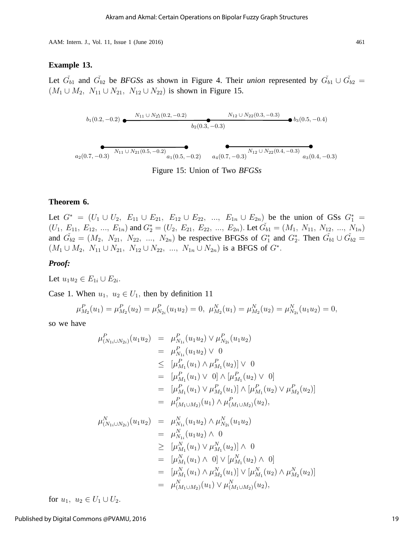#### **Example 13.**

Let  $\check{G}_{b1}$  and  $\check{G}_{b2}$  be *BFGSs* as shown in Figure 4. Their *union* represented by  $\check{G}_{b1} \cup \check{G}_{b2}$  =  $(M_1 \cup M_2, N_{11} \cup N_{21}, N_{12} \cup N_{22})$  is shown in Figure 15.

$$
b_1(0.2, -0.2) \underbrace{\bullet}_{k_1(0.2, -0.2)} \underbrace{N_{11} \cup N_{21}(0.2, -0.2)}_{b_2(0.3, -0.3)} b_3(0.5, -0.4)}
$$
\n
$$
b_2(0.3, -0.3) \underbrace{\bullet}_{a_1(0.5, -0.2)} \underbrace{\bullet}_{a_4(0.7, -0.3)} b_3(0.5, -0.4)
$$
\n
$$
b_3(0.5, -0.4)
$$

Figure 15: Union of Two *BFGSs*

#### **Theorem 6.**

Let  $G^* = (U_1 \cup U_2, E_{11} \cup E_{21}, E_{12} \cup E_{22}, ..., E_{1n} \cup E_{2n})$  be the union of GSs  $G_1^* =$  $(U_1, E_{11}, E_{12}, ..., E_{1n})$  and  $G_2^* = (U_2, E_{21}, E_{22}, ..., E_{2n})$ . Let  $\check{G}_{b1} = (M_1, N_{11}, N_{12}, ..., N_{1n})$ and  $\tilde{G}_{b2} = (M_2, N_{21}, N_{22}, ..., N_{2n})$  be respective BFGSs of  $G_1^*$  and  $G_2^*$ . Then  $\tilde{G}_{b1} \cup \tilde{G}_{b2} =$  $(M_1 \cup M_2, N_{11} \cup N_{21}, N_{12} \cup N_{22}, ..., N_{1n} \cup N_{2n})$  is a BFGS of  $G^*$ .

#### *Proof:*

Let  $u_1u_2 \in E_{1i} \cup E_{2i}$ .

Case 1. When  $u_1, u_2 \in U_1$ , then by definition 11

$$
\mu_{M_2}^P(u_1) = \mu_{M_2}^P(u_2) = \mu_{N_{2i}}^P(u_1 u_2) = 0, \ \mu_{M_2}^N(u_1) = \mu_{M_2}^N(u_2) = \mu_{N_{2i}}^N(u_1 u_2) = 0,
$$

so we have

$$
\mu_{(N_{1i}\cup N_{2i})}^{P}(u_{1}u_{2}) = \mu_{N_{1i}}^{P}(u_{1}u_{2}) \vee \mu_{N_{2i}}^{P}(u_{1}u_{2})
$$
\n
$$
= \mu_{N_{1i}}^{P}(u_{1}u_{2}) \vee 0
$$
\n
$$
\leq [\mu_{M_{1}}^{P}(u_{1}) \wedge \mu_{M_{1}}^{P}(u_{2})] \vee 0
$$
\n
$$
= [\mu_{M_{1}}^{P}(u_{1}) \vee 0] \wedge [\mu_{M_{1}}^{P}(u_{2}) \vee 0]
$$
\n
$$
= [\mu_{M_{1}}^{P}(u_{1}) \vee \mu_{M_{2}}^{P}(u_{1})] \wedge [\mu_{M_{1}}^{P}(u_{2}) \vee \mu_{M_{2}}^{P}(u_{2})]
$$
\n
$$
= \mu_{(M_{1}\cup M_{2})}^{P}(u_{1}) \wedge \mu_{(M_{1}\cup M_{2})}^{P}(u_{2}),
$$
\n
$$
\mu_{(N_{1i}\cup N_{2i})}^{N}(u_{1}u_{2}) = \mu_{N_{1i}}^{N}(u_{1}u_{2}) \wedge \mu_{N_{2i}}^{N}(u_{1}u_{2})
$$
\n
$$
= \mu_{N_{1i}}^{N}(u_{1}u_{2}) \wedge 0
$$
\n
$$
\geq [\mu_{M_{1}}^{N}(u_{1}) \vee \mu_{M_{1}}^{N}(u_{2})] \wedge 0
$$
\n
$$
= [\mu_{M_{1}}^{N}(u_{1}) \wedge \mu_{M_{2}}^{N}(u_{1})] \vee [\mu_{M_{1}}^{N}(u_{2}) \wedge \mu_{M_{2}}^{N}(u_{2})]
$$
\n
$$
= \mu_{(M_{1}\cup M_{2})}^{N}(u_{1}) \vee \mu_{(M_{1}\cup M_{2})}^{N}(u_{2}),
$$

for  $u_1, u_2 \in U_1 \cup U_2$ .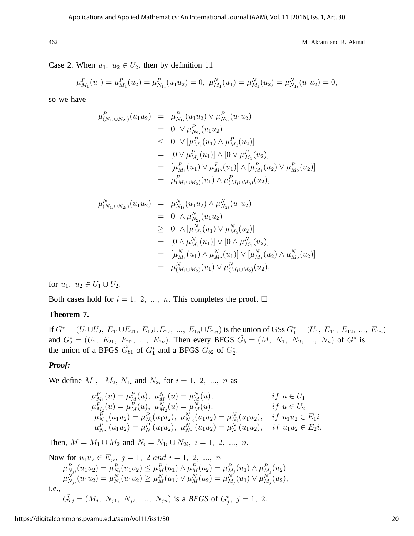Case 2. When  $u_1, u_2 \in U_2$ , then by definition 11

$$
\mu_{M_1}^P(u_1) = \mu_{M_1}^P(u_2) = \mu_{N_{1i}}^P(u_1 u_2) = 0, \ \mu_{M_1}^N(u_1) = \mu_{M_1}^N(u_2) = \mu_{N_{1i}}^N(u_1 u_2) = 0,
$$

so we have

$$
\mu_{(N_{1i}\cup N_{2i})}^{P}(u_{1}u_{2}) = \mu_{N_{1i}}^{P}(u_{1}u_{2}) \vee \mu_{N_{2i}}^{P}(u_{1}u_{2})
$$
\n
$$
= 0 \vee \mu_{N_{2i}}^{P}(u_{1}u_{2})
$$
\n
$$
\leq 0 \vee [\mu_{M_{2}}^{P}(u_{1}) \wedge \mu_{M_{2}}^{P}(u_{2})]
$$
\n
$$
= [0 \vee \mu_{M_{2}}^{P}(u_{1})] \wedge [0 \vee \mu_{M_{1}}^{P}(u_{2})]
$$
\n
$$
= [\mu_{M_{1}}^{P}(u_{1}) \vee \mu_{M_{2}}^{P}(u_{1})] \wedge [\mu_{M_{1}}^{P}(u_{2}) \vee \mu_{M_{2}}^{P}(u_{2})]
$$
\n
$$
= \mu_{(M_{1}\cup M_{2})}^{P}(u_{1}) \wedge \mu_{(M_{1}\cup M_{2})}^{P}(u_{2}),
$$

$$
\mu_{(N_{1i}\cup N_{2i})}^{N}(u_{1}u_{2}) = \mu_{N_{1i}}^{N}(u_{1}u_{2}) \wedge \mu_{N_{2i}}^{N}(u_{1}u_{2})
$$
\n
$$
= 0 \wedge \mu_{N_{2i}}^{N}(u_{1}u_{2})
$$
\n
$$
\geq 0 \wedge [\mu_{M_{2}}^{N}(u_{1}) \vee \mu_{M_{2}}^{N}(u_{2})]
$$
\n
$$
= [0 \wedge \mu_{M_{2}}^{N}(u_{1})] \vee [0 \wedge \mu_{M_{1}}^{N}(u_{2})]
$$
\n
$$
= [\mu_{M_{1}}^{N}(u_{1}) \wedge \mu_{M_{2}}^{N}(u_{1})] \vee [\mu_{M_{1}}^{N}(u_{2}) \wedge \mu_{M_{2}}^{N}(u_{2})]
$$
\n
$$
= \mu_{(M_{1}\cup M_{2})}^{N}(u_{1}) \vee \mu_{(M_{1}\cup M_{2})}^{N}(u_{2}),
$$

for  $u_1, u_2 \in U_1 \cup U_2$ .

Both cases hold for  $i = 1, 2, ..., n$ . This completes the proof.  $\Box$ 

#### **Theorem 7.**

If  $G^* = (U_1 \cup U_2, E_{11} \cup E_{21}, E_{12} \cup E_{22}, ..., E_{1n} \cup E_{2n})$  is the union of GSs  $G_1^* = (U_1, E_{11}, E_{12}, ..., E_{1n})$ and  $G_2^* = (U_2, E_{21}, E_{22}, ..., E_{2n})$ . Then every BFGS  $\check{G}_b = (M, N_1, N_2, ..., N_n)$  of  $G^*$  is the union of a BFGS  $\check{G}_{b1}$  of  $G_1^*$  and a BFGS  $\check{G}_{b2}$  of  $G_2^*$ .

#### *Proof:*

We define  $M_1$ ,  $M_2$ ,  $N_{1i}$  and  $N_{2i}$  for  $i = 1, 2, ..., n$  as

$$
\mu_{M_1}^P(u) = \mu_M^P(u), \quad \mu_{M_1}^N(u) = \mu_M^N(u), \qquad \text{if } u \in U_1
$$
  
\n
$$
\mu_{M_2}^P(u) = \mu_M^P(u), \quad \mu_{M_2}^N(u) = \mu_M^N(u), \qquad \text{if } u \in U_2
$$
  
\n
$$
\mu_{N_{1i}}^P(u_1u_2) = \mu_{N_i}^P(u_1u_2), \quad \mu_{N_{1i}}^N(u_1u_2) = \mu_{N_i}^N(u_1u_2), \quad \text{if } u_1u_2 \in E_1i
$$
  
\n
$$
\mu_{N_{2i}}^P(u_1u_2) = \mu_{N_i}^P(u_1u_2), \quad \mu_{N_{2i}}^N(u_1u_2) = \mu_{N_i}^N(u_1u_2), \quad \text{if } u_1u_2 \in E_2i.
$$

Then,  $M = M_1 \cup M_2$  and  $N_i = N_{1i} \cup N_{2i}, i = 1, 2, ..., n$ .

Now for 
$$
u_1u_2 \,\in E_{ji}
$$
,  $j = 1$ , 2 and  $i = 1, 2, ..., n$   
\n
$$
\mu_{N_{ji}}^P(u_1u_2) = \mu_{N_i}^P(u_1u_2) \leq \mu_M^P(u_1) \wedge \mu_M^P(u_2) = \mu_{M_j}^P(u_1) \wedge \mu_{M_j}^P(u_2)
$$
\n
$$
\mu_{N_{ji}}^N(u_1u_2) = \mu_{N_i}^N(u_1u_2) \geq \mu_M^N(u_1) \vee \mu_M^N(u_2) = \mu_{M_j}^N(u_1) \vee \mu_{M_j}^N(u_2),
$$
\ni.e.,  
\n
$$
\tilde{G}_{bj} = (M_j, N_{j1}, N_{j2}, ..., N_{jn})
$$
 is a *BFGS* of  $G_j^*$ ,  $j = 1, 2$ .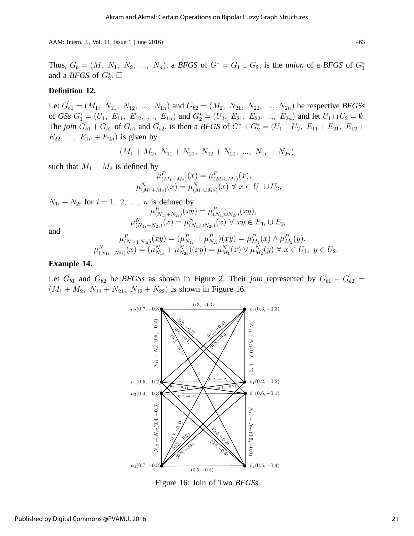Thus,  $\tilde{G}_b = (M, N_1, N_2, ..., N_n)$ , a *BFGS* of  $G^* = G_1 \cup G_2$ , is the *union* of a *BFGS* of  $G_1^*$ and a *BFGS* of  $G_2^*$ .  $\square$ 

## **Definition 12.**

Let  $\check{G}_{b1} = (M_1, N_{11}, N_{12}, ..., N_{1n})$  and  $\check{G}_{b2} = (M_2, N_{21}, N_{22}, ..., N_{2n})$  be respective *BFGSs* of *GSs*  $G_1^* = (U_1, E_{11}, E_{12}, ..., E_{1n})$  and  $G_2^* = (U_2, E_{21}, E_{22}, ..., E_{2n})$  and let  $U_1 \cap U_2 = \emptyset$ . The *join*  $\check{G}_{b1} + \check{G}_{b2}$  of  $\check{G}_{b1}$  and  $\check{G}_{b2}$ , is then a *BFGS* of  $G_1^* + G_2^* = (U_1 + U_2, E_{11} + E_{21}, E_{12} + E_{22})$  $E_{22}$ , ...,  $E_{1n} + E_{2n}$  is given by

$$
(M_1 + M_2, N_{11} + N_{21}, N_{12} + N_{22}, ..., N_{1n} + N_{2n})
$$

such that  $M_1 + M_2$  is defined by

$$
\mu_{(M_1+M_2)}^P(x) = \mu_{(M_1 \cup M_2)}^P(x),
$$
  

$$
\mu_{(M_1+M_2)}^N(x) = \mu_{(M_1 \cup M_2)}^N(x) \ \forall \ x \in U_1 \cup U_2,
$$

$$
N_{1i} + N_{2i} \text{ for } i = 1, 2, ..., n \text{ is defined by}
$$
\n
$$
\mu_{(N_{1i} + N_{2i})}^{P}(xy) = \mu_{(N_{1i} \cup N_{2i})}^{P}(xy),
$$
\n
$$
\mu_{(N_{1i} + N_{2i})}^{N}(x) = \mu_{(N_{1i} \cup N_{2i})}^{N}(x) \quad \forall \ xy \in E_{1i} \cup E_{2i}
$$
\nand\n
$$
\mu_{(N_{1i} + N_{2i})}^{P}(xy) = (\mu_{N_{1i}}^{P} + \mu_{N_{2i}}^{P})(xy) = \mu_{M_{1}}^{P}(x) \land \mu_{M_{2}}^{P}(y),
$$
\n
$$
N_{(1i)} \quad \dots N_{(N_{1i} + N_{2i})}^{N}(xy) = N_{(1i)} \quad \dots N_{(N_{1i} + N_{2i})}^{N}(xy) = N_{(1i)} \quad \dots N_{(N_{1i} + N_{2i})}^{N}(xy) = N_{(1i)} \quad \dots N_{(N_{1i} + N_{2i})}^{N}(xy) = N_{(1i)} \quad \dots N_{(N_{1i} + N_{2i})}^{N}(xy) = N_{(1i)} \quad \dots N_{(N_{1i} + N_{2i})}^{N}(xy) = N_{(1i)} \quad \dots N_{(N_{1i} + N_{2i})}^{N}(xy) = N_{(1i)} \quad \dots N_{(N_{1i} + N_{2i})}^{N}(xy) = N_{(1i)} \quad \dots N_{(N_{1i} + N_{2i})}^{N}(xy) = N_{(1i)} \quad \dots N_{(N_{1i} + N_{2i})}^{N}(xy) = N_{(1i)} \quad \dots N_{(N_{1i} + N_{2i})}^{N}(xy) = N_{(1i)} \quad \dots N_{(N_{1i} + N_{2i})}^{N}(xy) = N_{(1i)} \quad \dots N_{(N_{1i} + N_{2i})}^{N}(xy) = N_{(1i)} \quad \dots N_{(N_{1i} + N_{2i})}^{N}(xy) = N_{(1i)} \quad \dots N_{(N_{1i} + N_{2i})}^{N}(xy) = N_{(1i)} \quad \dots N_{(N_{1i} + N_{2i})}^{N}(xy) = N_{(1i)} \quad \dots N
$$

$$
\mu_{(N_{1i}+N_{2i})}^{P}(xy) = (\mu_{N_{1i}}^{P} + \mu_{N_{2i}}^{P})(xy) = \mu_{M_{1}}^{P}(x) \wedge \mu_{M_{2}}^{P}(y),
$$
  

$$
\mu_{(N_{1i}+N_{2i})}^{N}(x) = (\mu_{N_{1i}}^{N} + \mu_{N_{2i}}^{N})(xy) = \mu_{M_{1}}^{N}(x) \vee \mu_{M_{2}}^{N}(y) \forall x \in U_{1}, y \in U_{2}.
$$

## **Example 14.**

Let  $\check{G}_{b1}$  and  $\check{G}_{b2}$  be *BFGSs* as shown in Figure 2. Their *join* represented by  $\check{G}_{b1} + \check{G}_{b2}$  =  $(M_1 + M_2, N_{11} + N_{21}, N_{12} + N_{22})$  is shown in Figure 16.



Figure 16: Join of Two *BFGSs*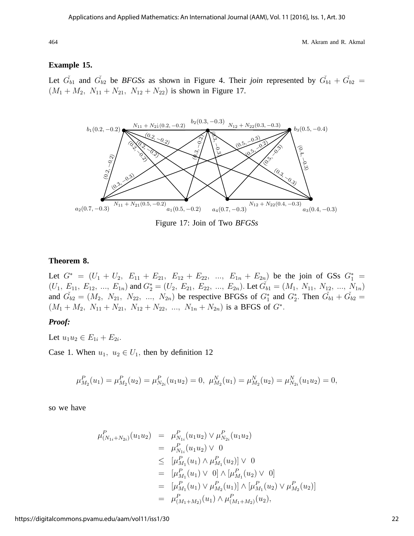## **Example 15.**

Let  $\check{G}_{b1}$  and  $\check{G}_{b2}$  be *BFGSs* as shown in Figure 4. Their *join* represented by  $\check{G}_{b1} + \check{G}_{b2}$  =  $(M_1 + M_2, N_{11} + N_{21}, N_{12} + N_{22})$  is shown in Figure 17.



Figure 17: Join of Two *BFGSs*

## **Theorem 8.**

Let  $G^* = (U_1 + U_2, E_{11} + E_{21}, E_{12} + E_{22}, ..., E_{1n} + E_{2n})$  be the join of GSs  $G_1^* =$  $(U_1, E_{11}, E_{12}, ..., E_{1n})$  and  $G_2^* = (U_2, E_{21}, E_{22}, ..., E_{2n})$ . Let  $\check{G}_{b1} = (M_1, N_{11}, N_{12}, ..., N_{1n})$ and  $\tilde{G}_{b2} = (M_2, N_{21}, N_{22}, ..., N_{2n})$  be respective BFGSs of  $G_1^*$  and  $G_2^*$ . Then  $\tilde{G}_{b1} + \tilde{G}_{b2} =$  $(M_1 + M_2, N_{11} + N_{21}, N_{12} + N_{22}, ..., N_{1n} + N_{2n})$  is a BFGS of  $G^*$ .

#### *Proof:*

Let  $u_1u_2 \in E_{1i} + E_{2i}$ .

Case 1. When  $u_1, u_2 \in U_1$ , then by definition 12

$$
\mu_{M_2}^P(u_1) = \mu_{M_2}^P(u_2) = \mu_{N_{2i}}^P(u_1 u_2) = 0, \ \mu_{M_2}^N(u_1) = \mu_{M_2}^N(u_2) = \mu_{N_{2i}}^N(u_1 u_2) = 0,
$$

so we have

$$
\mu_{(N_{1i}+N_{2i})}^{P}(u_{1}u_{2}) = \mu_{N_{1i}}^{P}(u_{1}u_{2}) \vee \mu_{N_{2i}}^{P}(u_{1}u_{2})
$$
\n
$$
= \mu_{N_{1i}}^{P}(u_{1}u_{2}) \vee 0
$$
\n
$$
\leq [\mu_{M_{1}}^{P}(u_{1}) \wedge \mu_{M_{1}}^{P}(u_{2})] \vee 0
$$
\n
$$
= [\mu_{M_{1}}^{P}(u_{1}) \vee 0] \wedge [\mu_{M_{1}}^{P}(u_{2}) \vee 0]
$$
\n
$$
= [\mu_{M_{1}}^{P}(u_{1}) \vee \mu_{M_{2}}^{P}(u_{1})] \wedge [\mu_{M_{1}}^{P}(u_{2}) \vee \mu_{M_{2}}^{P}(u_{2})]
$$
\n
$$
= \mu_{(M_{1}+M_{2})}^{P}(u_{1}) \wedge \mu_{(M_{1}+M_{2})}^{P}(u_{2}),
$$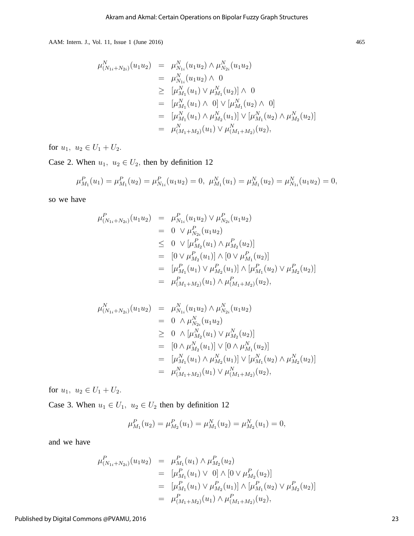$$
\mu_{(N_{1i}+N_{2i})}^{N}(u_{1}u_{2}) = \mu_{N_{1i}}^{N}(u_{1}u_{2}) \wedge \mu_{N_{2i}}^{N}(u_{1}u_{2})
$$
\n
$$
= \mu_{N_{1i}}^{N}(u_{1}u_{2}) \wedge 0
$$
\n
$$
\geq [\mu_{M_{1}}^{N}(u_{1}) \vee \mu_{M_{1}}^{N}(u_{2})] \wedge 0
$$
\n
$$
= [\mu_{M_{1}}^{N}(u_{1}) \wedge 0] \vee [\mu_{M_{1}}^{N}(u_{2}) \wedge 0]
$$
\n
$$
= [\mu_{M_{1}}^{N}(u_{1}) \wedge \mu_{M_{2}}^{N}(u_{1})] \vee [\mu_{M_{1}}^{N}(u_{2}) \wedge \mu_{M_{2}}^{N}(u_{2})]
$$
\n
$$
= \mu_{(M_{1}+M_{2})}^{N}(u_{1}) \vee \mu_{(M_{1}+M_{2})}^{N}(u_{2}),
$$

for  $u_1, u_2 \in U_1 + U_2$ .

Case 2. When  $u_1, u_2 \in U_2$ , then by definition 12

$$
\mu_{M_1}^P(u_1) = \mu_{M_1}^P(u_2) = \mu_{N_{1i}}^P(u_1 u_2) = 0, \ \mu_{M_1}^N(u_1) = \mu_{M_1}^N(u_2) = \mu_{N_{1i}}^N(u_1 u_2) = 0,
$$

so we have

$$
\mu_{(N_{1i}+N_{2i})}^{P}(u_{1}u_{2}) = \mu_{N_{1i}}^{P}(u_{1}u_{2}) \vee \mu_{N_{2i}}^{P}(u_{1}u_{2})
$$
  
\n
$$
= 0 \vee \mu_{N_{2i}}^{P}(u_{1}u_{2})
$$
  
\n
$$
\leq 0 \vee [\mu_{M_{2}}^{P}(u_{1}) \wedge \mu_{M_{2}}^{P}(u_{2})]
$$
  
\n
$$
= [0 \vee \mu_{M_{2}}^{P}(u_{1})] \wedge [0 \vee \mu_{M_{1}}^{P}(u_{2})]
$$
  
\n
$$
= [\mu_{M_{1}}^{P}(u_{1}) \vee \mu_{M_{2}}^{P}(u_{1})] \wedge [\mu_{M_{1}}^{P}(u_{2}) \vee \mu_{M_{2}}^{P}(u_{2})]
$$
  
\n
$$
= \mu_{(M_{1}+M_{2})}^{P}(u_{1}) \wedge \mu_{(M_{1}+M_{2})}^{P}(u_{2}),
$$

$$
\mu_{(N_{1i}+N_{2i})}^{N}(u_{1}u_{2}) = \mu_{N_{1i}}^{N}(u_{1}u_{2}) \wedge \mu_{N_{2i}}^{N}(u_{1}u_{2})
$$
  
\n
$$
= 0 \wedge \mu_{N_{2i}}^{N}(u_{1}u_{2})
$$
  
\n
$$
\geq 0 \wedge [\mu_{M_{2}}^{N}(u_{1}) \vee \mu_{M_{2}}^{N}(u_{2})]
$$
  
\n
$$
= [0 \wedge \mu_{M_{2}}^{N}(u_{1})] \vee [0 \wedge \mu_{M_{1}}^{N}(u_{2})]
$$
  
\n
$$
= [\mu_{M_{1}}^{N}(u_{1}) \wedge \mu_{M_{2}}^{N}(u_{1})] \vee [\mu_{M_{1}}^{N}(u_{2}) \wedge \mu_{M_{2}}^{N}(u_{2})]
$$
  
\n
$$
= \mu_{(M_{1}+M_{2})}^{N}(u_{1}) \vee \mu_{(M_{1}+M_{2})}^{N}(u_{2}),
$$

for  $u_1, u_2 \in U_1 + U_2$ .

Case 3. When  $u_1 \in U_1$ ,  $u_2 \in U_2$  then by definition 12

$$
\mu_{M_1}^P(u_2) = \mu_{M_2}^P(u_1) = \mu_{M_1}^N(u_2) = \mu_{M_2}^N(u_1) = 0,
$$

and we have

$$
\mu_{(N_{1i}+N_{2i})}^{P}(u_1u_2) = \mu_{M_1}^{P}(u_1) \wedge \mu_{M_2}^{P}(u_2)
$$
  
\n
$$
= [\mu_{M_1}^{P}(u_1) \vee 0] \wedge [0 \vee \mu_{M_2}^{P}(u_2)]
$$
  
\n
$$
= [\mu_{M_1}^{P}(u_1) \vee \mu_{M_2}^{P}(u_1)] \wedge [\mu_{M_1}^{P}(u_2) \vee \mu_{M_2}^{P}(u_2)]
$$
  
\n
$$
= \mu_{(M_1+M_2)}^{P}(u_1) \wedge \mu_{(M_1+M_2)}^{P}(u_2),
$$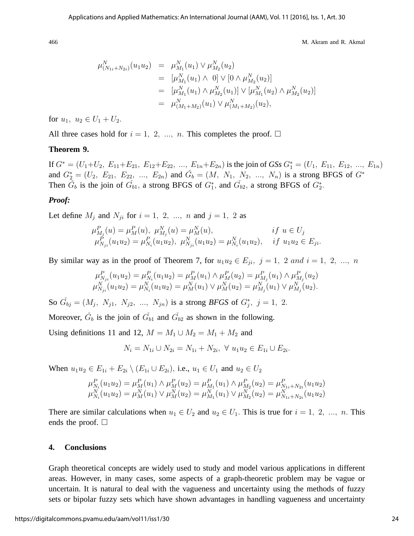$$
\mu_{(N_{1i}+N_{2i})}^{N}(u_{1}u_{2}) = \mu_{M_{1}}^{N}(u_{1}) \vee \mu_{M_{2}}^{N}(u_{2})
$$
  
\n
$$
= [\mu_{M_{1}}^{N}(u_{1}) \wedge 0] \vee [0 \wedge \mu_{M_{2}}^{N}(u_{2})]
$$
  
\n
$$
= [\mu_{M_{1}}^{N}(u_{1}) \wedge \mu_{M_{2}}^{N}(u_{1})] \vee [\mu_{M_{1}}^{N}(u_{2}) \wedge \mu_{M_{2}}^{N}(u_{2})]
$$
  
\n
$$
= \mu_{(M_{1}+M_{2})}^{N}(u_{1}) \vee \mu_{(M_{1}+M_{2})}^{N}(u_{2}),
$$

for  $u_1, u_2 \in U_1 + U_2$ .

All three cases hold for  $i = 1, 2, ..., n$ . This completes the proof.  $\Box$ 

## **Theorem 9.**

If  $G^* = (U_1 + U_2, E_{11} + E_{21}, E_{12} + E_{22}, ..., E_{1n} + E_{2n})$  is the join of *GSs*  $G_1^* = (U_1, E_{11}, E_{12}, ..., E_{1n})$ and  $G_2^* = (U_2, E_{21}, E_{22}, ..., E_{2n})$  and  $\tilde{G}_b = (M, N_1, N_2, ..., N_n)$  is a strong BFGS of  $G^*$ Then  $\check{G}_b$  is the join of  $\check{G}_{b1}$ , a strong BFGS of  $G_1^*$ , and  $\check{G}_{b2}$ , a strong BFGS of  $G_2^*$ .

#### *Proof:*

Let define  $M_i$  and  $N_{ji}$  for  $i = 1, 2, ..., n$  and  $j = 1, 2$  as

$$
\mu_{N_j}^P(u) = \mu_M^P(u), \ \mu_{N_j}^N(u) = \mu_M^N(u), \qquad \text{if } u \in U_j
$$
  

$$
\mu_{N_{ji}}^P(u_1u_2) = \mu_{N_i}^P(u_1u_2), \ \mu_{N_{ji}}^N(u_1u_2) = \mu_{N_i}^N(u_1u_2), \quad \text{if } u_1u_2 \in E_{ji}.
$$

By similar way as in the proof of Theorem 7, for  $u_1u_2 \in E_{ji}$ ,  $j = 1, 2$  and  $i = 1, 2, ..., n$ 

$$
\mu_{N_{ji}}^P(u_1u_2) = \mu_{N_i}^P(u_1u_2) = \mu_M^P(u_1) \wedge \mu_M^P(u_2) = \mu_{M_j}^P(u_1) \wedge \mu_{M_j}^P(u_2)
$$
  

$$
\mu_{N_{ji}}^N(u_1u_2) = \mu_{N_i}^N(u_1u_2) = \mu_M^N(u_1) \vee \mu_M^N(u_2) = \mu_{M_j}^N(u_1) \vee \mu_{M_j}^N(u_2).
$$

So  $\tilde{G}_{bj} = (M_j, N_{j1}, N_{j2}, ..., N_{jn})$  is a strong *BFGS* of  $G_j^*$ ,  $j = 1, 2$ .

Moreover,  $\check{G}_b$  is the join of  $\check{G}_{b1}$  and  $\check{G}_{b2}$  as shown in the following.

Using definitions 11 and 12,  $M = M_1 \cup M_2 = M_1 + M_2$  and

$$
N_i = N_{1i} \cup N_{2i} = N_{1i} + N_{2i}, \ \forall \ u_1 u_2 \in E_{1i} \cup E_{2i}.
$$

When  $u_1u_2 \in E_{1i} + E_{2i} \setminus (E_{1i} \cup E_{2i})$ , i.e.,  $u_1 \in U_1$  and  $u_2 \in U_2$ 

$$
\mu_{N_i}^P(u_1u_2) = \mu_M^P(u_1) \wedge \mu_M^P(u_2) = \mu_{M_1}^P(u_1) \wedge \mu_{M_2}^P(u_2) = \mu_{N_{1i}+N_{2i}}^P(u_1u_2)
$$
  

$$
\mu_{N_i}^N(u_1u_2) = \mu_M^N(u_1) \vee \mu_M^N(u_2) = \mu_{M_1}^N(u_1) \vee \mu_{M_2}^N(u_2) = \mu_{N_{1i}+N_{2i}}^N(u_1u_2)
$$

There are similar calculations when  $u_1 \in U_2$  and  $u_2 \in U_1$ . This is true for  $i = 1, 2, ..., n$ . This ends the proof.  $\Box$ 

## **4. Conclusions**

Graph theoretical concepts are widely used to study and model various applications in different areas. However, in many cases, some aspects of a graph-theoretic problem may be vague or uncertain. It is natural to deal with the vagueness and uncertainty using the methods of fuzzy sets or bipolar fuzzy sets which have shown advantages in handling vagueness and uncertainty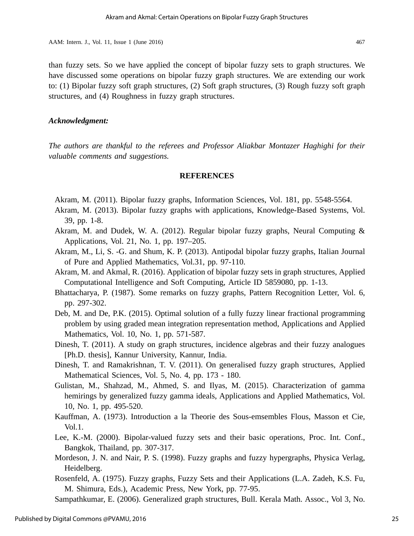than fuzzy sets. So we have applied the concept of bipolar fuzzy sets to graph structures. We have discussed some operations on bipolar fuzzy graph structures. We are extending our work to: (1) Bipolar fuzzy soft graph structures, (2) Soft graph structures, (3) Rough fuzzy soft graph structures, and (4) Roughness in fuzzy graph structures.

## *Acknowledgment:*

*The authors are thankful to the referees and Professor Aliakbar Montazer Haghighi for their valuable comments and suggestions.*

## **REFERENCES**

- Akram, M. (2011). Bipolar fuzzy graphs, Information Sciences, Vol. 181, pp. 5548-5564.
- Akram, M. (2013). Bipolar fuzzy graphs with applications, Knowledge-Based Systems, Vol. 39, pp. 1-8.
- Akram, M. and Dudek, W. A. (2012). Regular bipolar fuzzy graphs, Neural Computing & Applications, Vol. 21, No. 1, pp. 197–205.
- Akram, M., Li, S. -G. and Shum, K. P. (2013). Antipodal bipolar fuzzy graphs, Italian Journal of Pure and Applied Mathematics, Vol.31, pp. 97-110.
- Akram, M. and Akmal, R. (2016). Application of bipolar fuzzy sets in graph structures, Applied Computational Intelligence and Soft Computing, Article ID 5859080, pp. 1-13.
- Bhattacharya, P. (1987). Some remarks on fuzzy graphs, Pattern Recognition Letter, Vol. 6, pp. 297-302.
- Deb, M. and De, P.K. (2015). Optimal solution of a fully fuzzy linear fractional programming problem by using graded mean integration representation method, Applications and Applied Mathematics, Vol. 10, No. 1, pp. 571-587.
- Dinesh, T. (2011). A study on graph structures, incidence algebras and their fuzzy analogues [Ph.D. thesis], Kannur University, Kannur, India.
- Dinesh, T. and Ramakrishnan, T. V. (2011). On generalised fuzzy graph structures, Applied Mathematical Sciences, Vol. 5, No. 4, pp. 173 - 180.
- Gulistan, M., Shahzad, M., Ahmed, S. and Ilyas, M. (2015). Characterization of gamma hemirings by generalized fuzzy gamma ideals, Applications and Applied Mathematics, Vol. 10, No. 1, pp. 495-520.
- Kauffman, A. (1973). Introduction a la Theorie des Sous-emsembles Flous, Masson et Cie, Vol.1.
- Lee, K.-M. (2000). Bipolar-valued fuzzy sets and their basic operations, Proc. Int. Conf., Bangkok, Thailand, pp. 307-317.
- Mordeson, J. N. and Nair, P. S. (1998). Fuzzy graphs and fuzzy hypergraphs, Physica Verlag, Heidelberg.
- Rosenfeld, A. (1975). Fuzzy graphs, Fuzzy Sets and their Applications (L.A. Zadeh, K.S. Fu, M. Shimura, Eds.), Academic Press, New York, pp. 77-95.

Sampathkumar, E. (2006). Generalized graph structures, Bull. Kerala Math. Assoc., Vol 3, No.